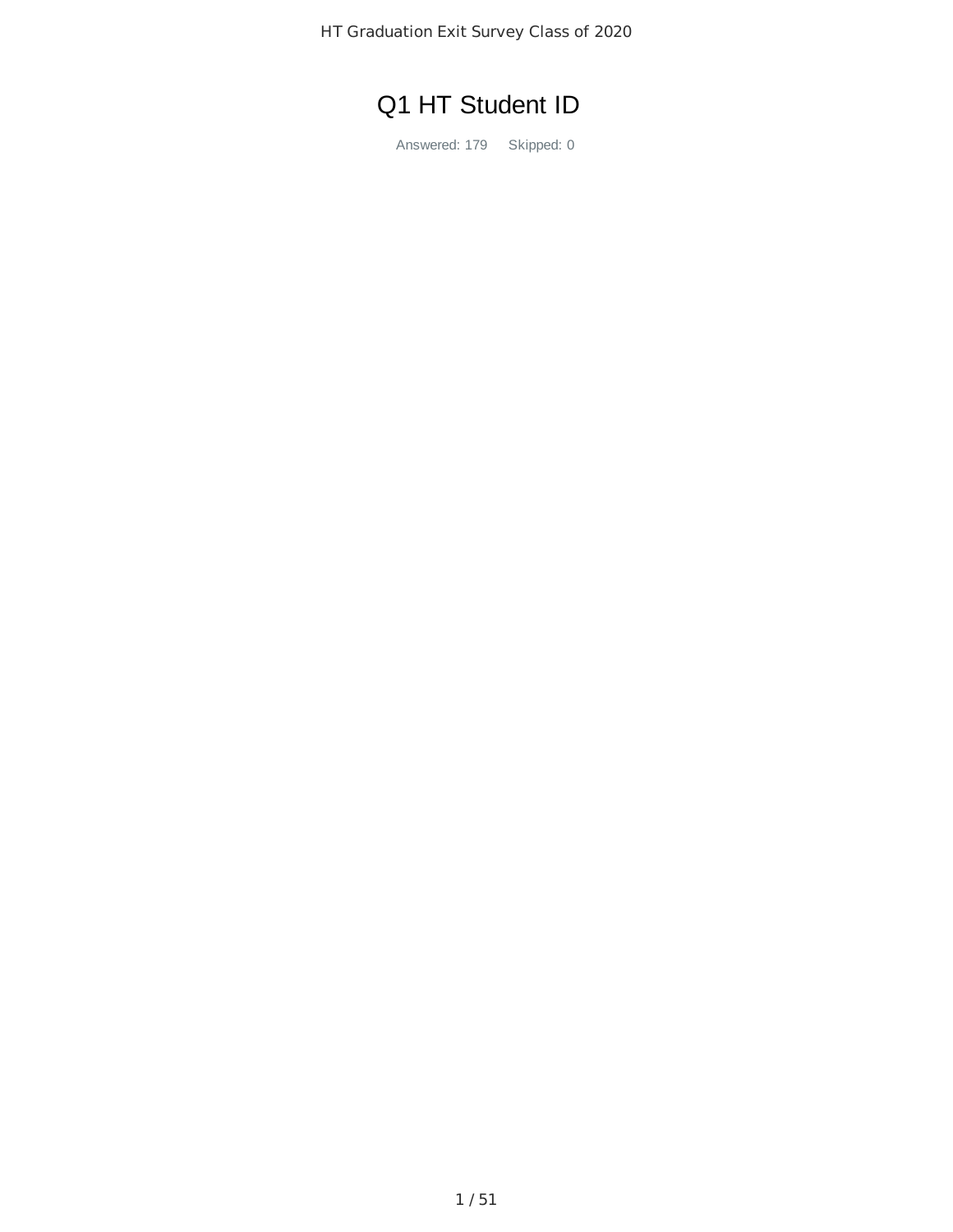HT Graduation Exit Survey Class of 2020

# Q1 HT Student ID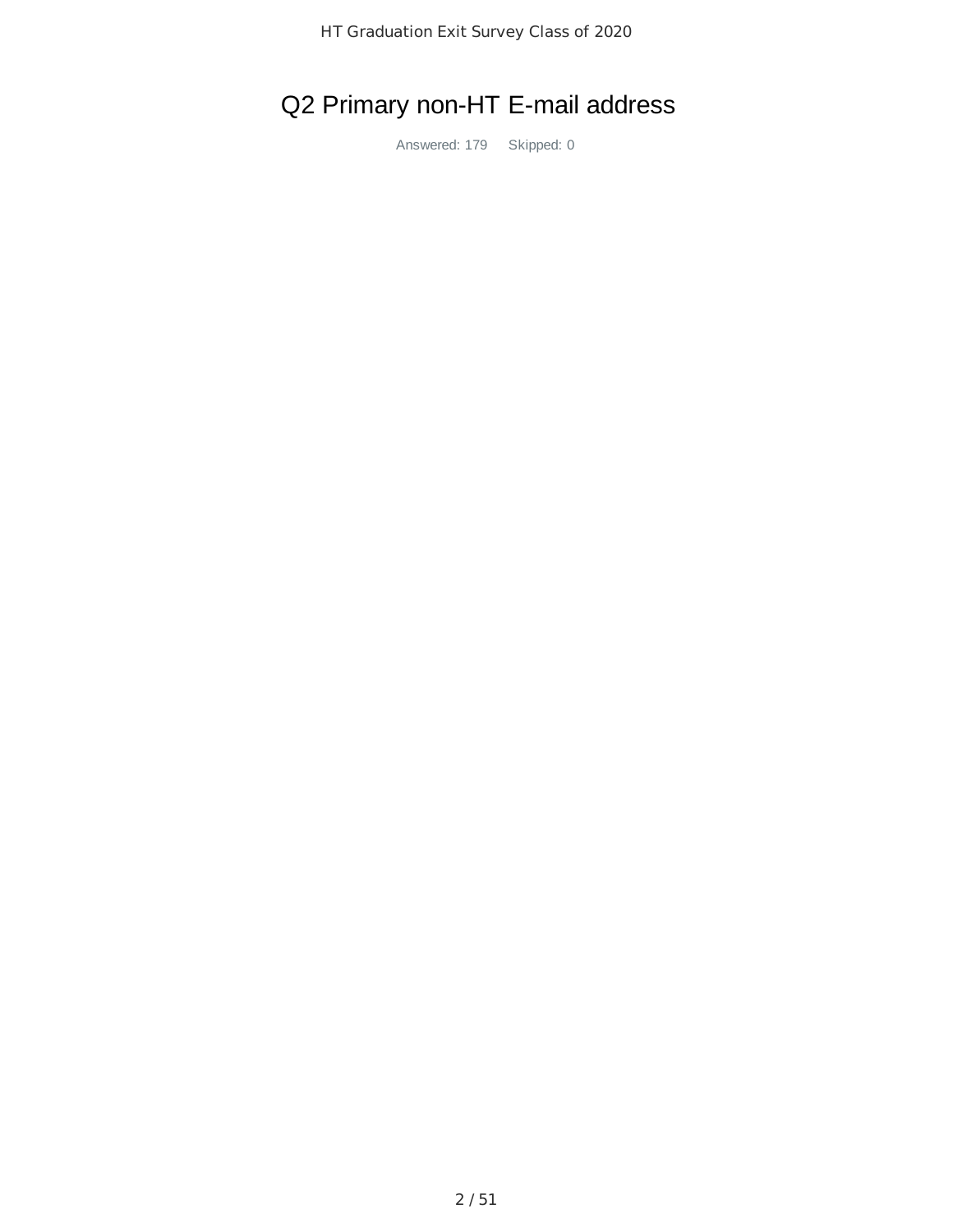# Q2 Primary non-HT E-mail address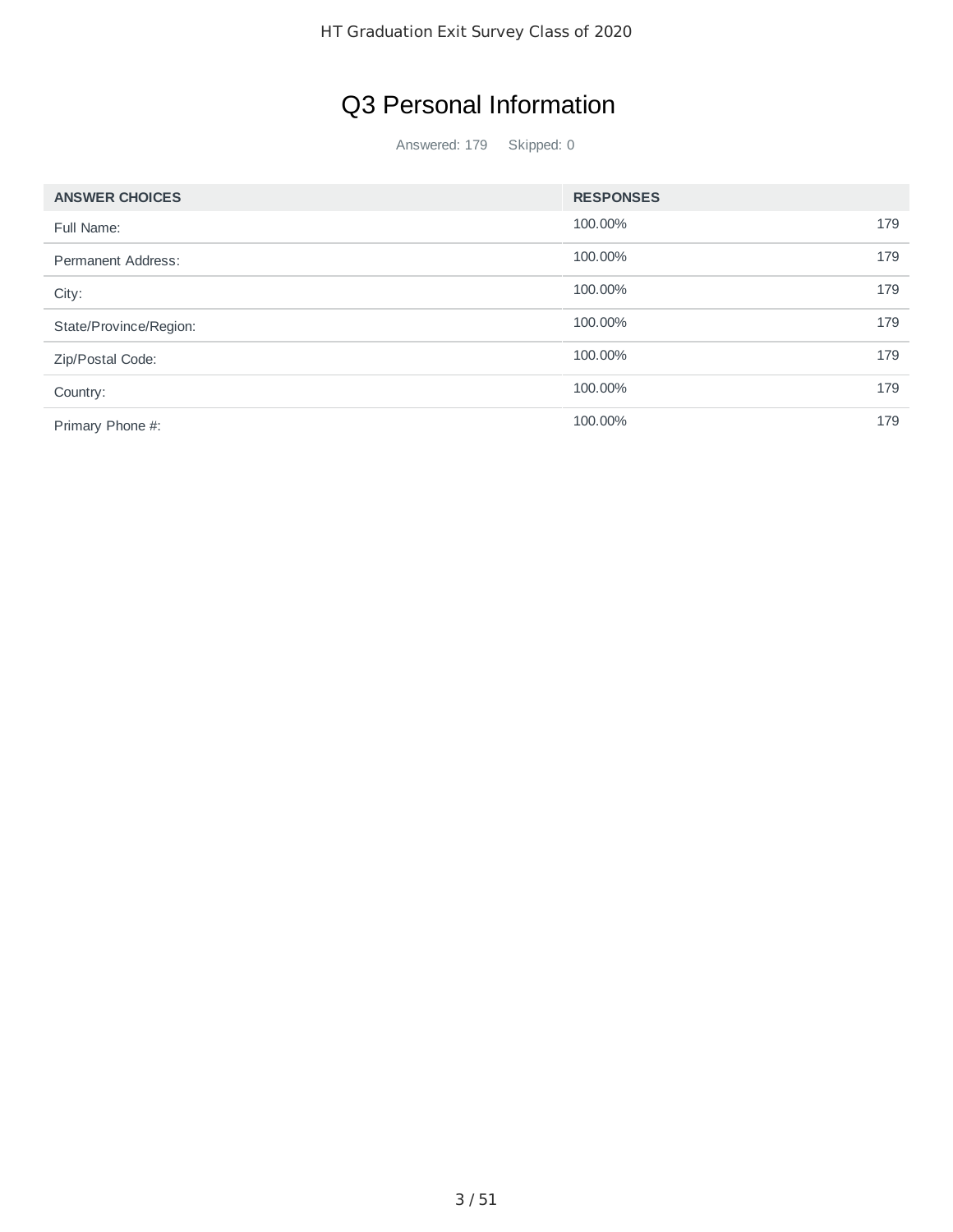# Q3 Personal Information

| <b>ANSWER CHOICES</b>  | <b>RESPONSES</b> |     |
|------------------------|------------------|-----|
| Full Name:             | 100.00%          | 179 |
| Permanent Address:     | 100.00%          | 179 |
| City:                  | 100.00%          | 179 |
| State/Province/Region: | 100.00%          | 179 |
| Zip/Postal Code:       | 100.00%          | 179 |
| Country:               | 100.00%          | 179 |
| Primary Phone #:       | 100.00%          | 179 |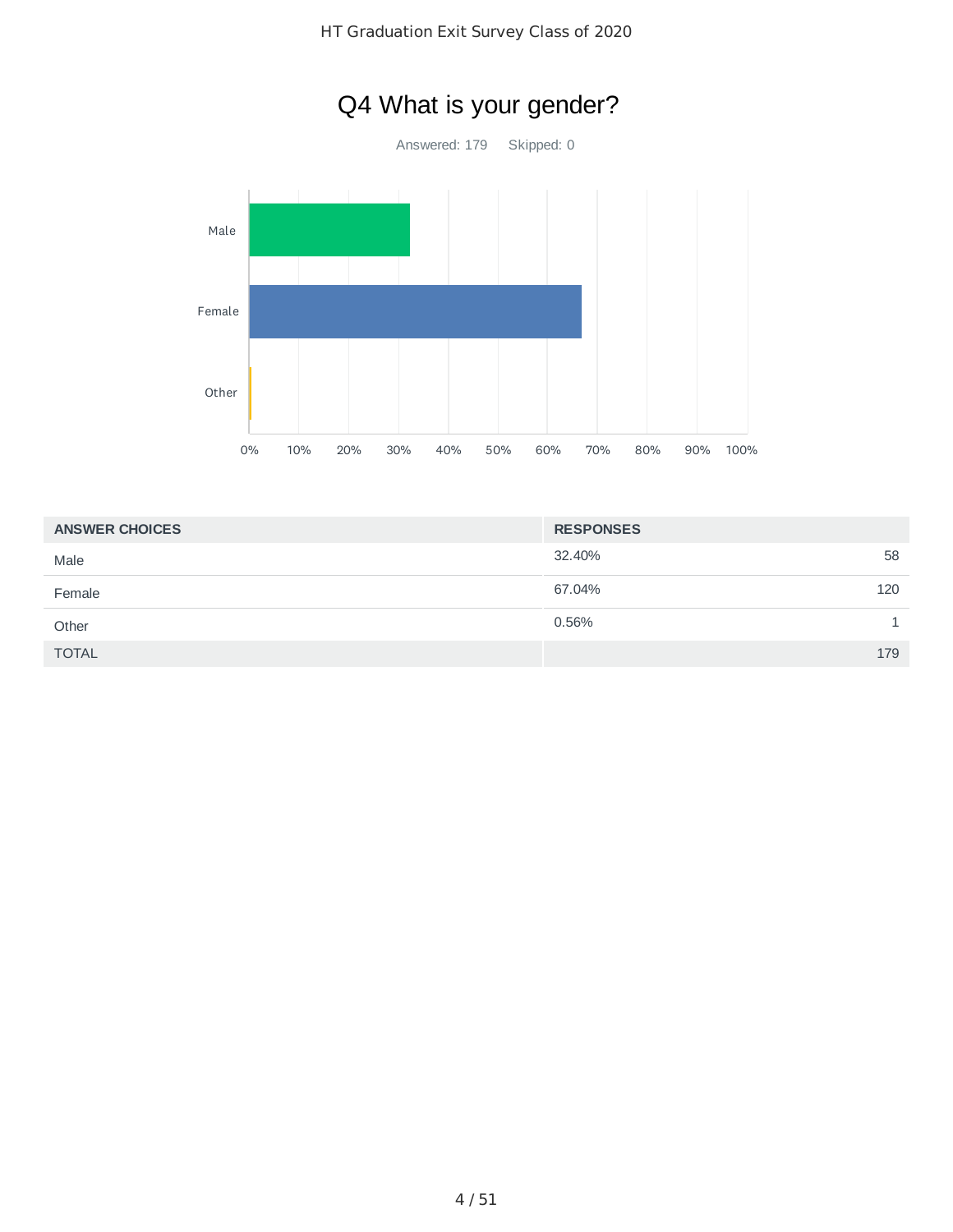

| <b>ANSWER CHOICES</b> | <b>RESPONSES</b> |
|-----------------------|------------------|
| Male                  | 58<br>32.40%     |
| Female                | 120<br>67.04%    |
| Other                 | 0.56%            |
| <b>TOTAL</b>          | 179              |

# Q4 What is your gender?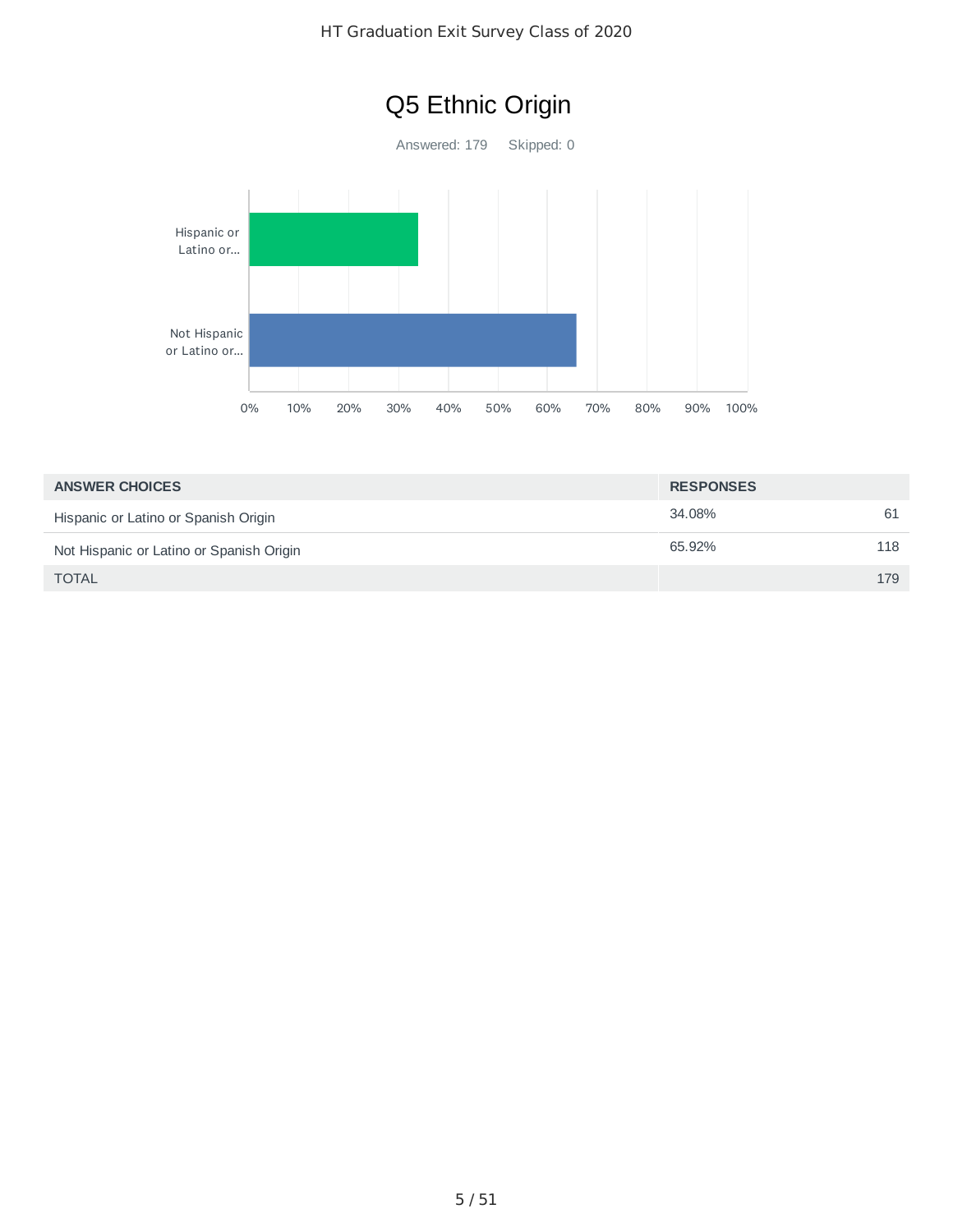

| <b>ANSWER CHOICES</b>                    | <b>RESPONSES</b> |     |
|------------------------------------------|------------------|-----|
| Hispanic or Latino or Spanish Origin     | 34.08%           | 61  |
| Not Hispanic or Latino or Spanish Origin | 65.92%           | 118 |
| <b>TOTAL</b>                             |                  | 179 |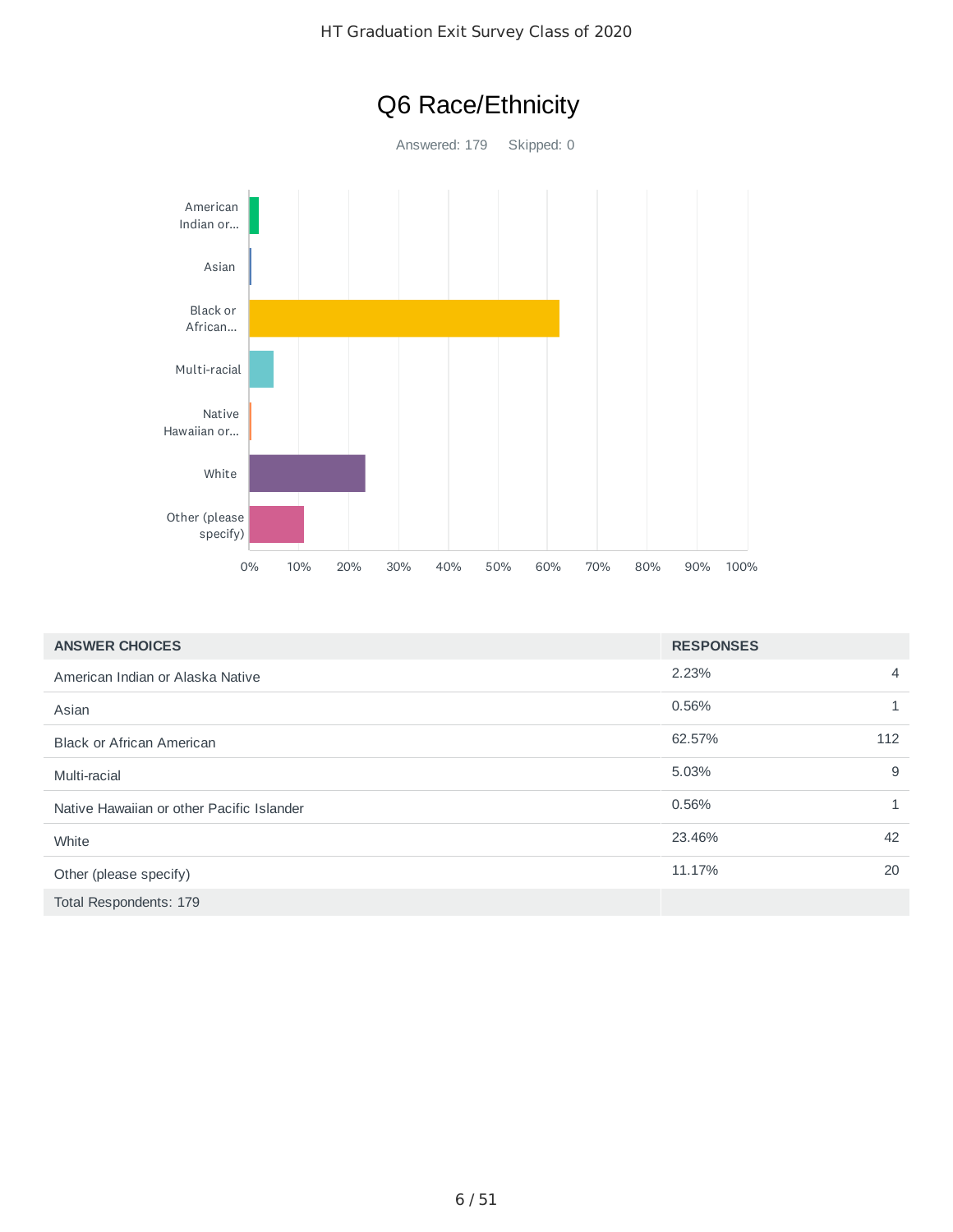



| <b>ANSWER CHOICES</b>                     | <b>RESPONSES</b> |              |
|-------------------------------------------|------------------|--------------|
| American Indian or Alaska Native          | 2.23%            | 4            |
| Asian                                     | 0.56%            |              |
| <b>Black or African American</b>          | 62.57%           | 112          |
| Multi-racial                              | 5.03%            | 9            |
| Native Hawaiian or other Pacific Islander | 0.56%            | $\mathbf{1}$ |
| White                                     | 23.46%           | 42           |
| Other (please specify)                    | 11.17%           | 20           |
| Total Respondents: 179                    |                  |              |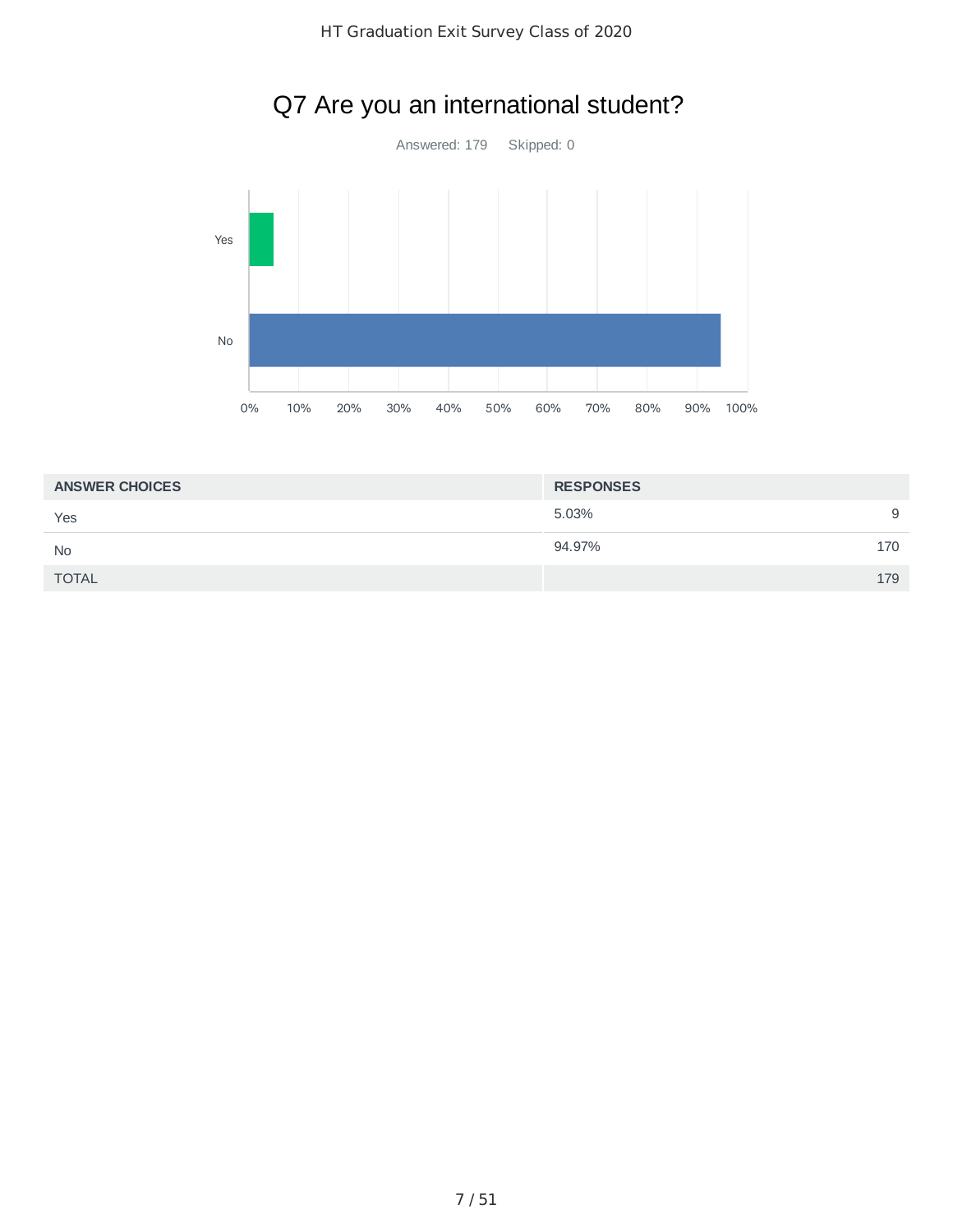

# Q7 Are you an international student?

| <b>RESPONSES</b> |     |
|------------------|-----|
| 5.03%            | 9   |
| 94.97%           | 170 |
|                  | 179 |
|                  |     |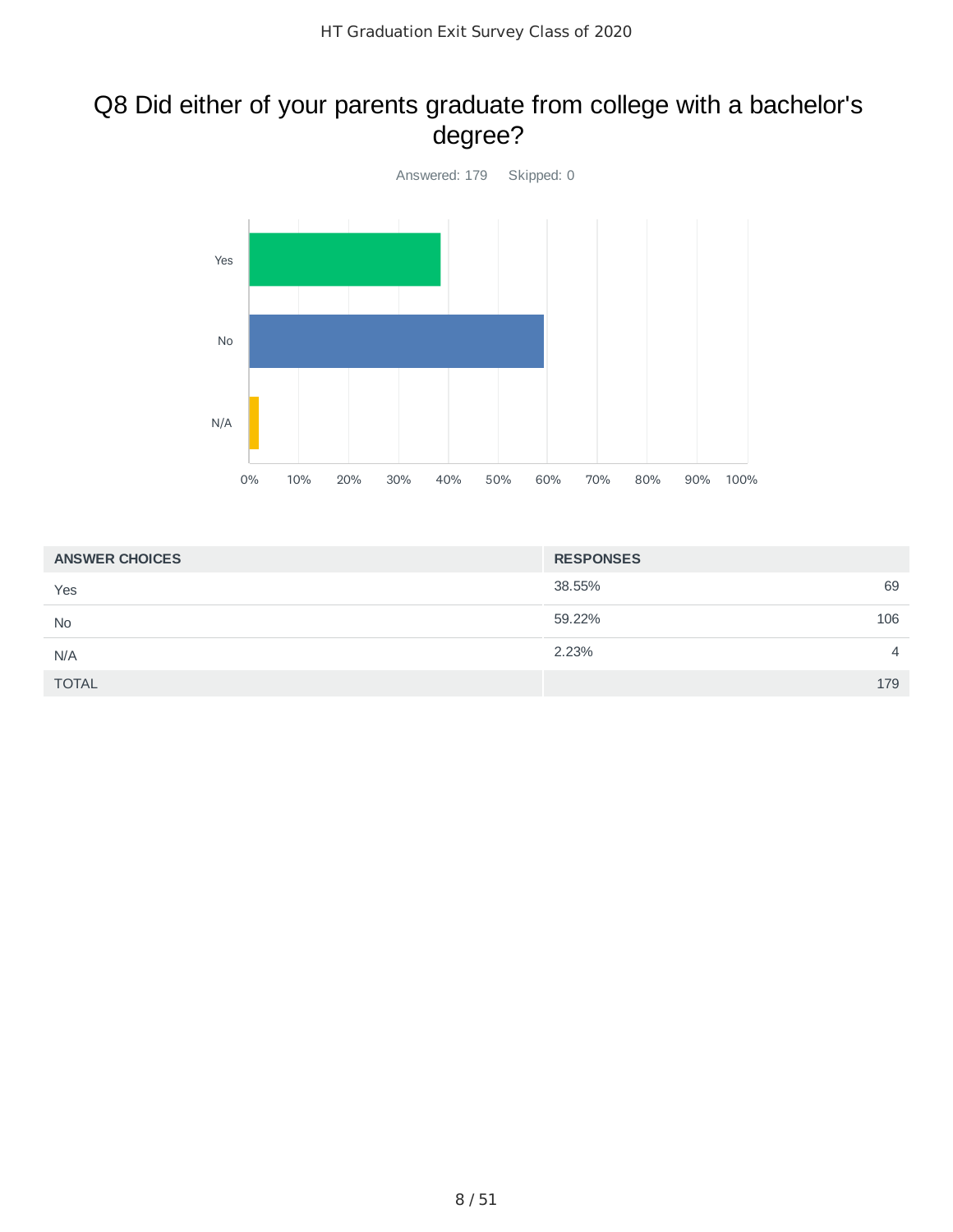### Q8 Did either of your parents graduate from college with a bachelor's degree?



| <b>ANSWER CHOICES</b> | <b>RESPONSES</b>        |
|-----------------------|-------------------------|
| Yes                   | 69<br>38.55%            |
| <b>No</b>             | 59.22%<br>106           |
| N/A                   | 2.23%<br>$\overline{4}$ |
| <b>TOTAL</b>          | 179                     |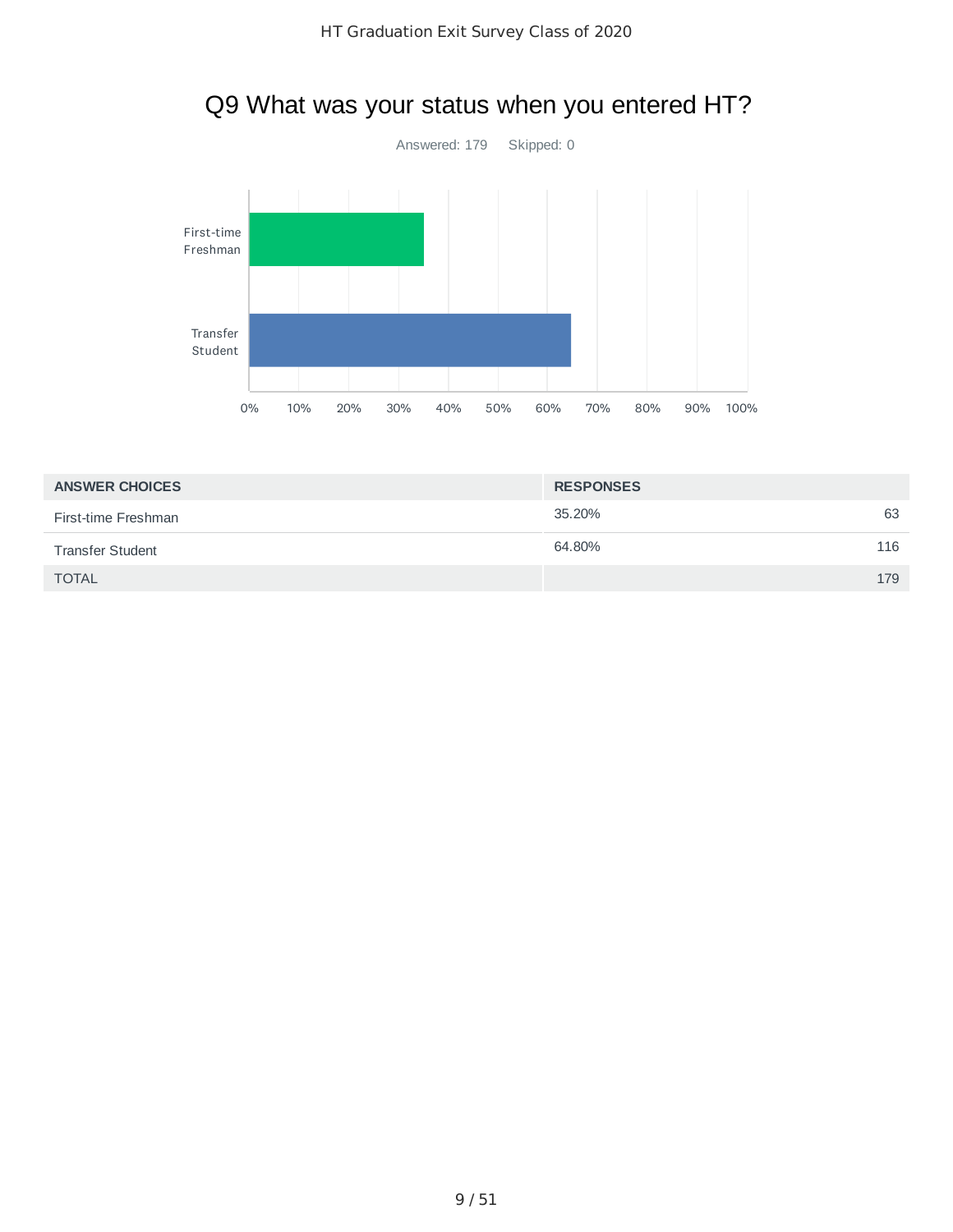

# Q9 What was your status when you entered HT?

| <b>ANSWER CHOICES</b>   | <b>RESPONSES</b> |     |
|-------------------------|------------------|-----|
| First-time Freshman     | 35.20%           | 63  |
| <b>Transfer Student</b> | 64.80%           | 116 |
| <b>TOTAL</b>            |                  | 179 |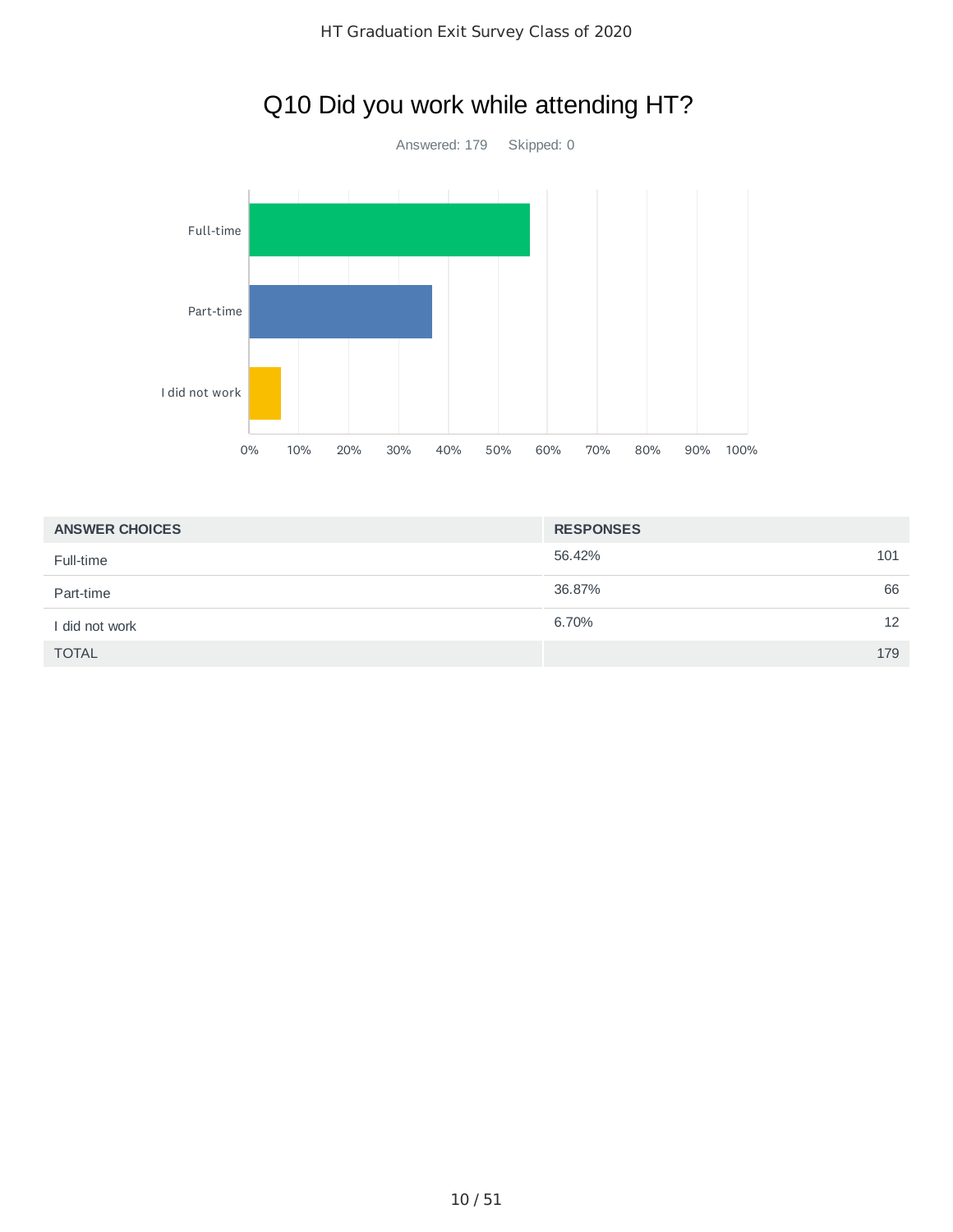

# Q10 Did you work while attending HT?

| <b>ANSWER CHOICES</b> | <b>RESPONSES</b> |    |
|-----------------------|------------------|----|
| Full-time             | 56.42%<br>101    |    |
| Part-time             | 36.87%           | 66 |
| I did not work        | 6.70%            | 12 |
| <b>TOTAL</b>          | 179              |    |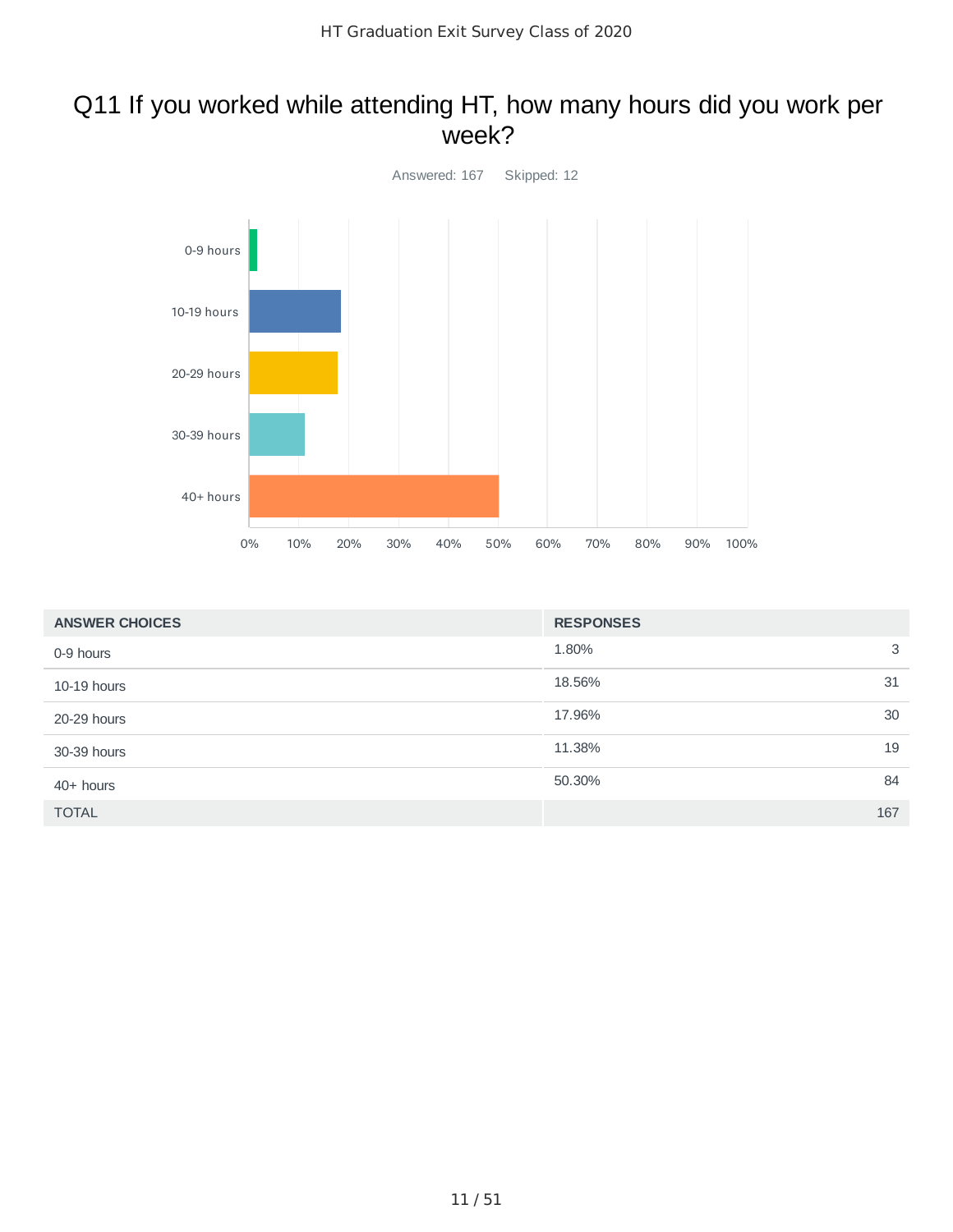### Q11 If you worked while attending HT, how many hours did you work per week?



| <b>ANSWER CHOICES</b> | <b>RESPONSES</b> |
|-----------------------|------------------|
| 0-9 hours             | 3<br>1.80%       |
| 10-19 hours           | 18.56%<br>31     |
| 20-29 hours           | 17.96%<br>30     |
| 30-39 hours           | 11.38%<br>19     |
| $40+$ hours           | 50.30%<br>84     |
| <b>TOTAL</b>          | 167              |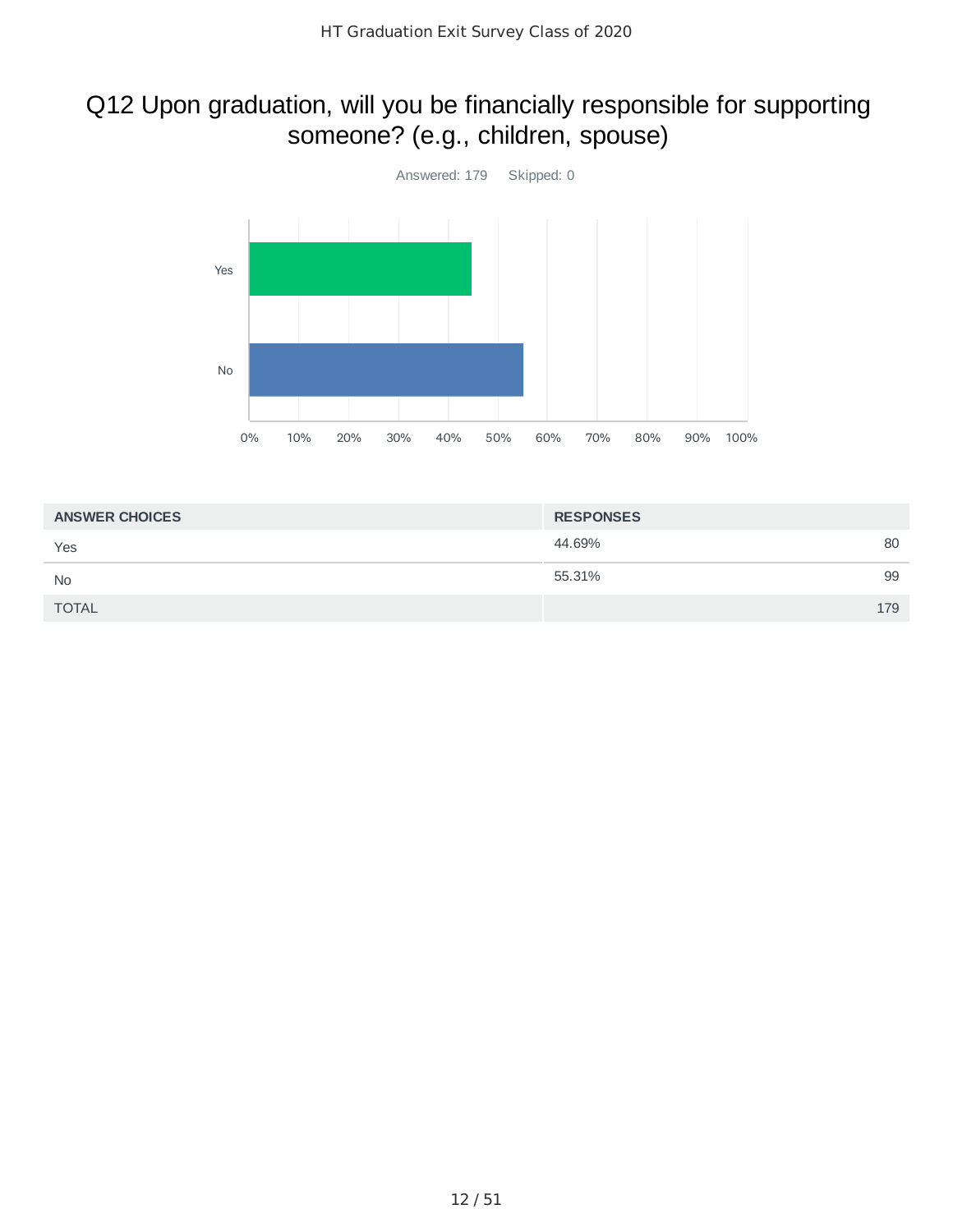## Q12 Upon graduation, will you be financially responsible for supporting someone? (e.g., children, spouse)



| <b>ANSWER CHOICES</b> | <b>RESPONSES</b> |     |
|-----------------------|------------------|-----|
| Yes                   | 44.69%           | 80  |
| <b>No</b>             | 55.31%           | 99  |
| <b>TOTAL</b>          |                  | 179 |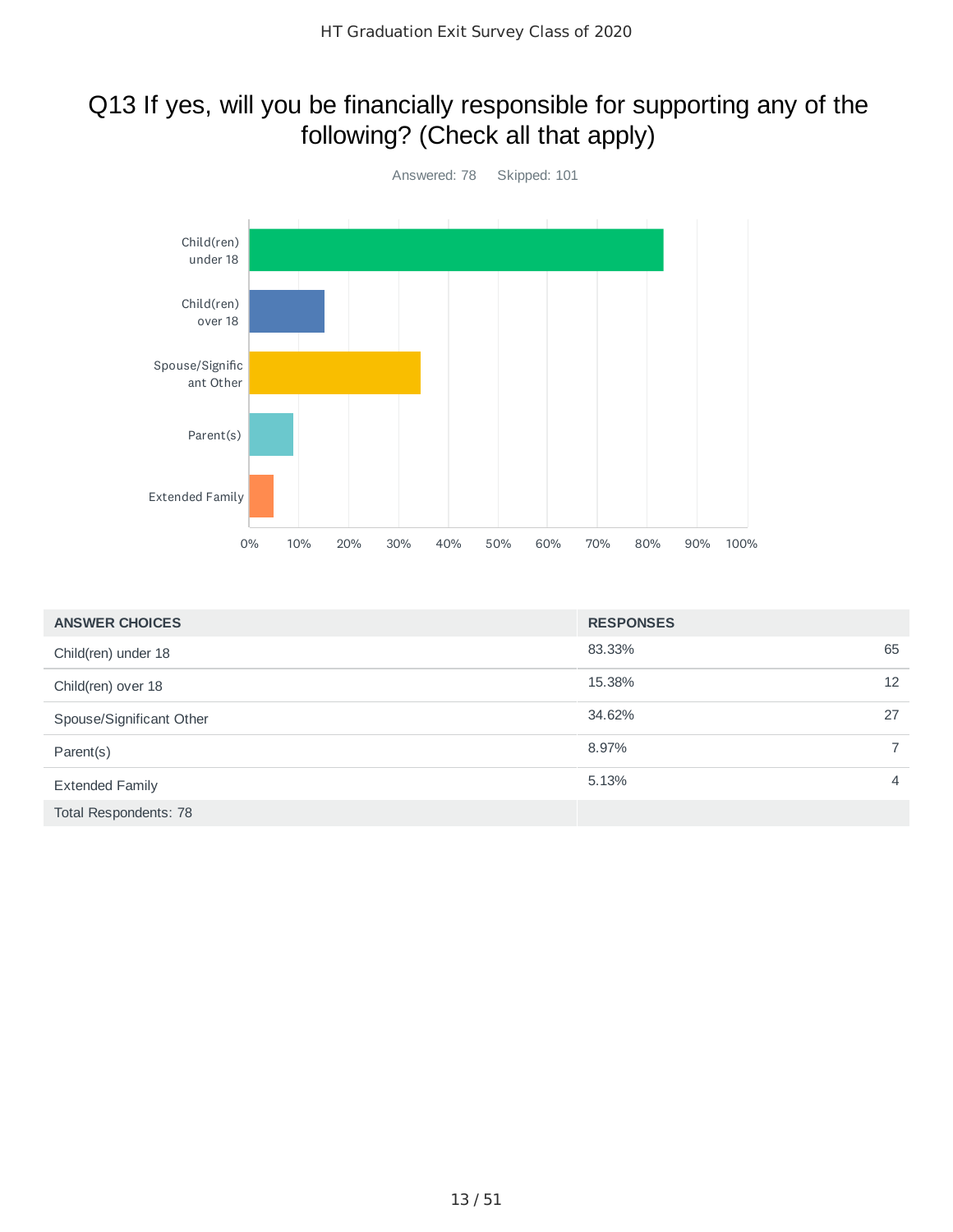### Q13 If yes, will you be financially responsible for supporting any of the following? (Check all that apply)



| <b>ANSWER CHOICES</b>    | <b>RESPONSES</b> |                |
|--------------------------|------------------|----------------|
| Child(ren) under 18      | 83.33%           | 65             |
| Child(ren) over 18       | 15.38%           | 12             |
| Spouse/Significant Other | 34.62%           | 27             |
| Parent(s)                | 8.97%            | $\overline{7}$ |
| <b>Extended Family</b>   | 5.13%            | $\overline{4}$ |
| Total Respondents: 78    |                  |                |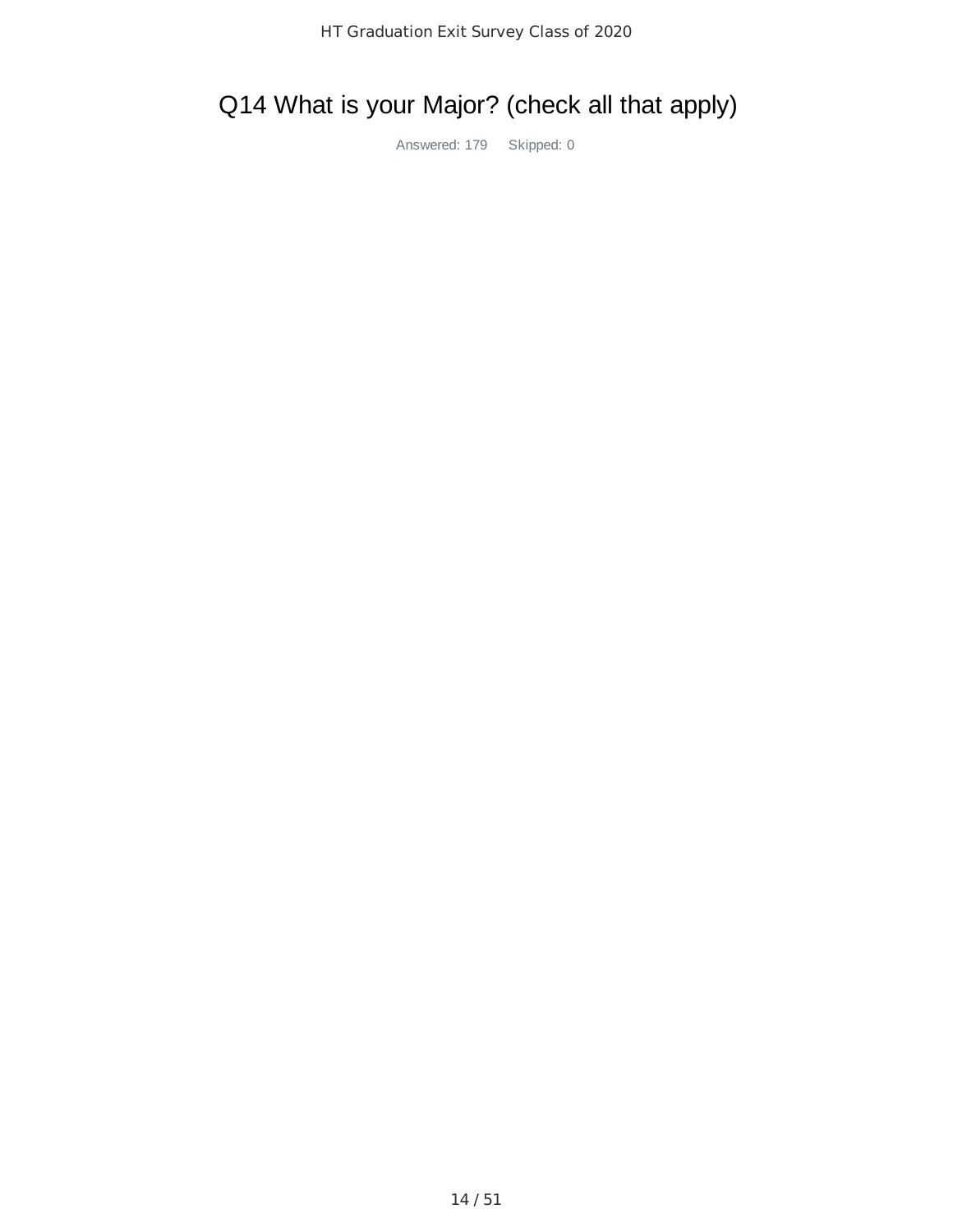# Q14 What is your Major? (check all that apply)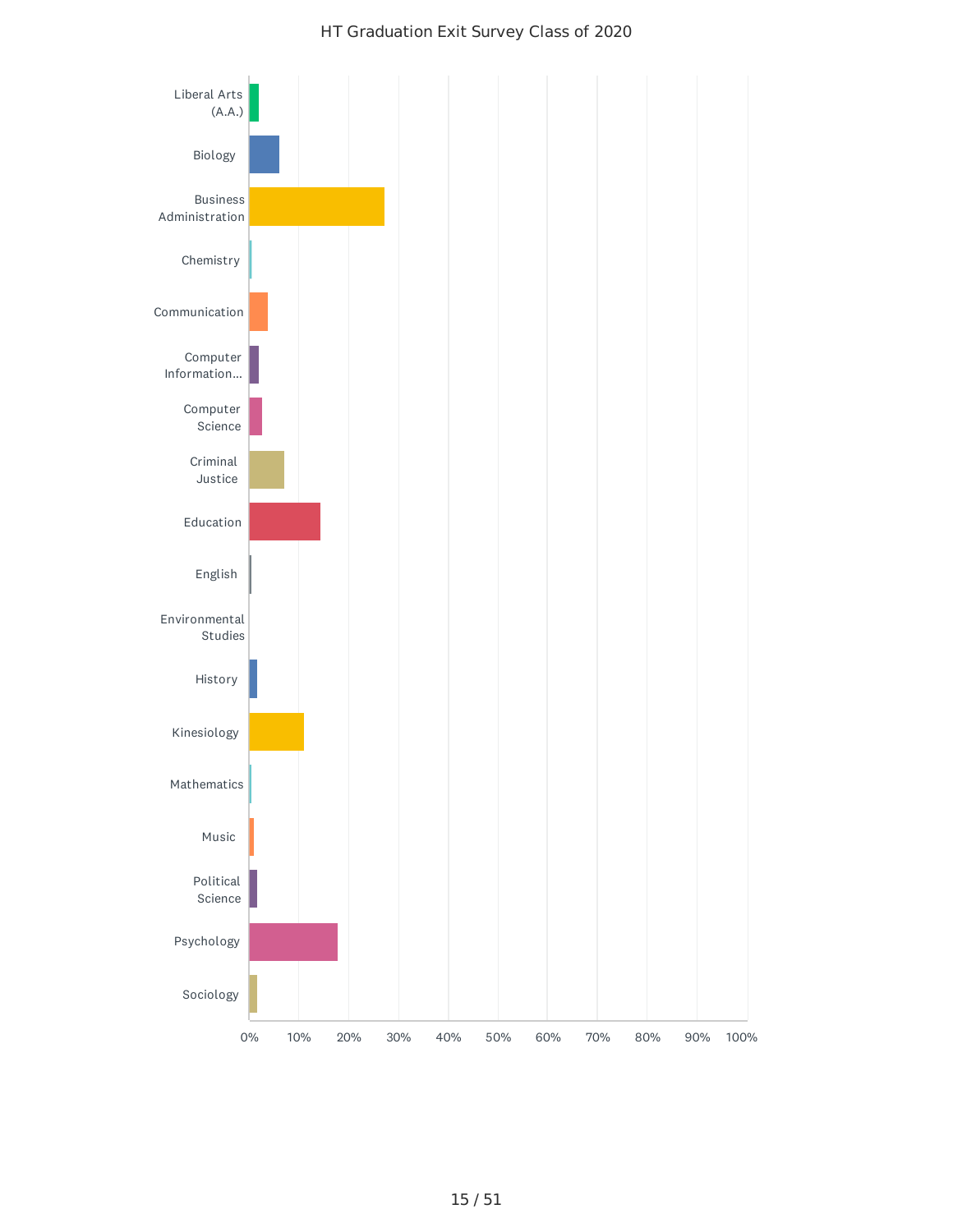### HT Graduation Exit Survey Class of 2020

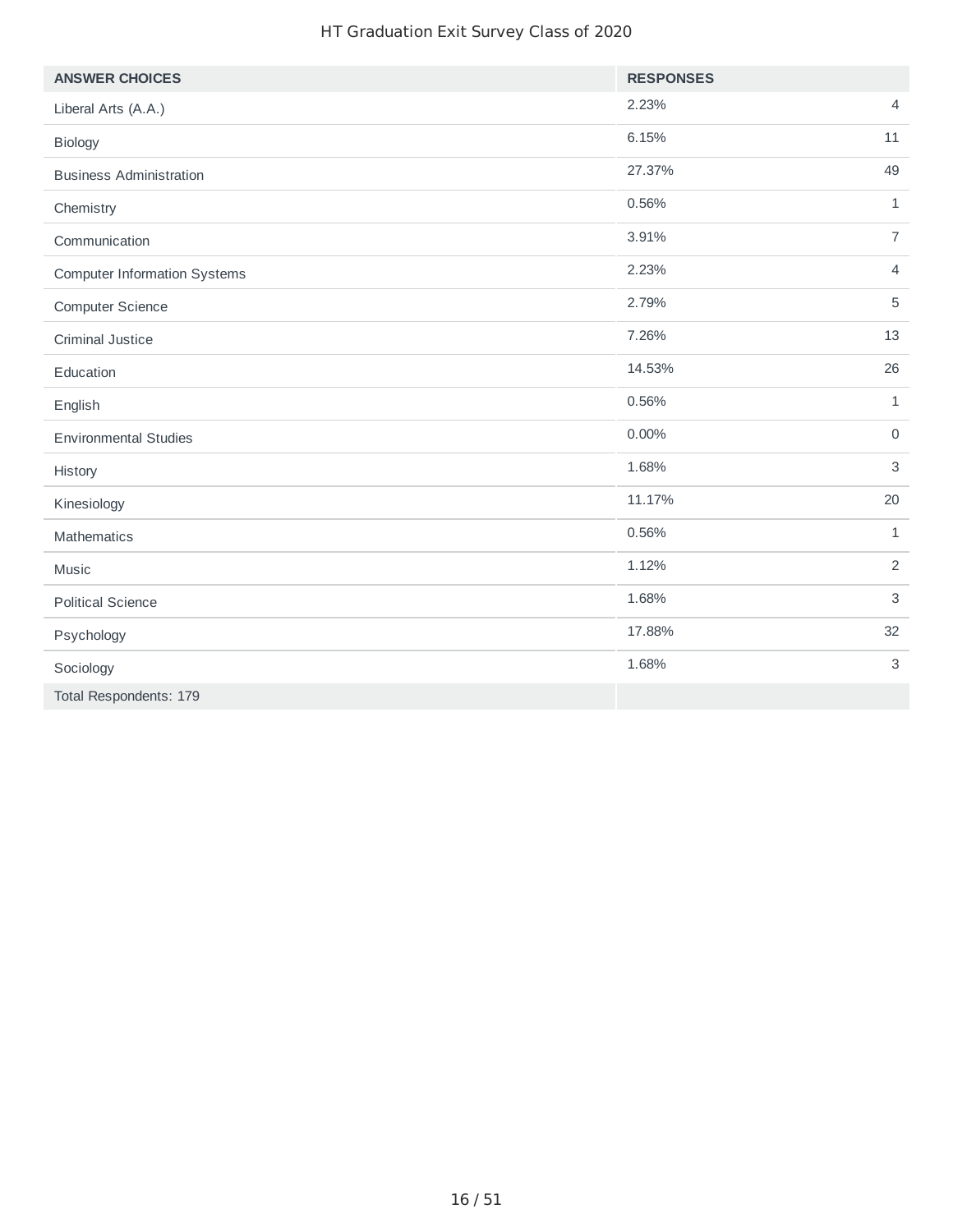### HT Graduation Exit Survey Class of 2020

| <b>ANSWER CHOICES</b>               | <b>RESPONSES</b> |                |
|-------------------------------------|------------------|----------------|
| Liberal Arts (A.A.)                 | 2.23%            | $\overline{4}$ |
| Biology                             | 6.15%            | 11             |
| <b>Business Administration</b>      | 27.37%           | 49             |
| Chemistry                           | 0.56%            | $\mathbf{1}$   |
| Communication                       | 3.91%            | $\overline{7}$ |
| <b>Computer Information Systems</b> | 2.23%            | $\overline{4}$ |
| <b>Computer Science</b>             | 2.79%            | 5              |
| Criminal Justice                    | 7.26%            | 13             |
| Education                           | 14.53%           | 26             |
| English                             | 0.56%            | $\mathbf{1}$   |
| <b>Environmental Studies</b>        | 0.00%            | $\mathsf{O}$   |
| History                             | 1.68%            | $\mathsf 3$    |
| Kinesiology                         | 11.17%           | 20             |
| Mathematics                         | 0.56%            | $\mathbf{1}$   |
| Music                               | 1.12%            | $\overline{2}$ |
| <b>Political Science</b>            | 1.68%            | 3              |
| Psychology                          | 17.88%           | 32             |
| Sociology                           | 1.68%            | $\mathsf 3$    |
| Total Respondents: 179              |                  |                |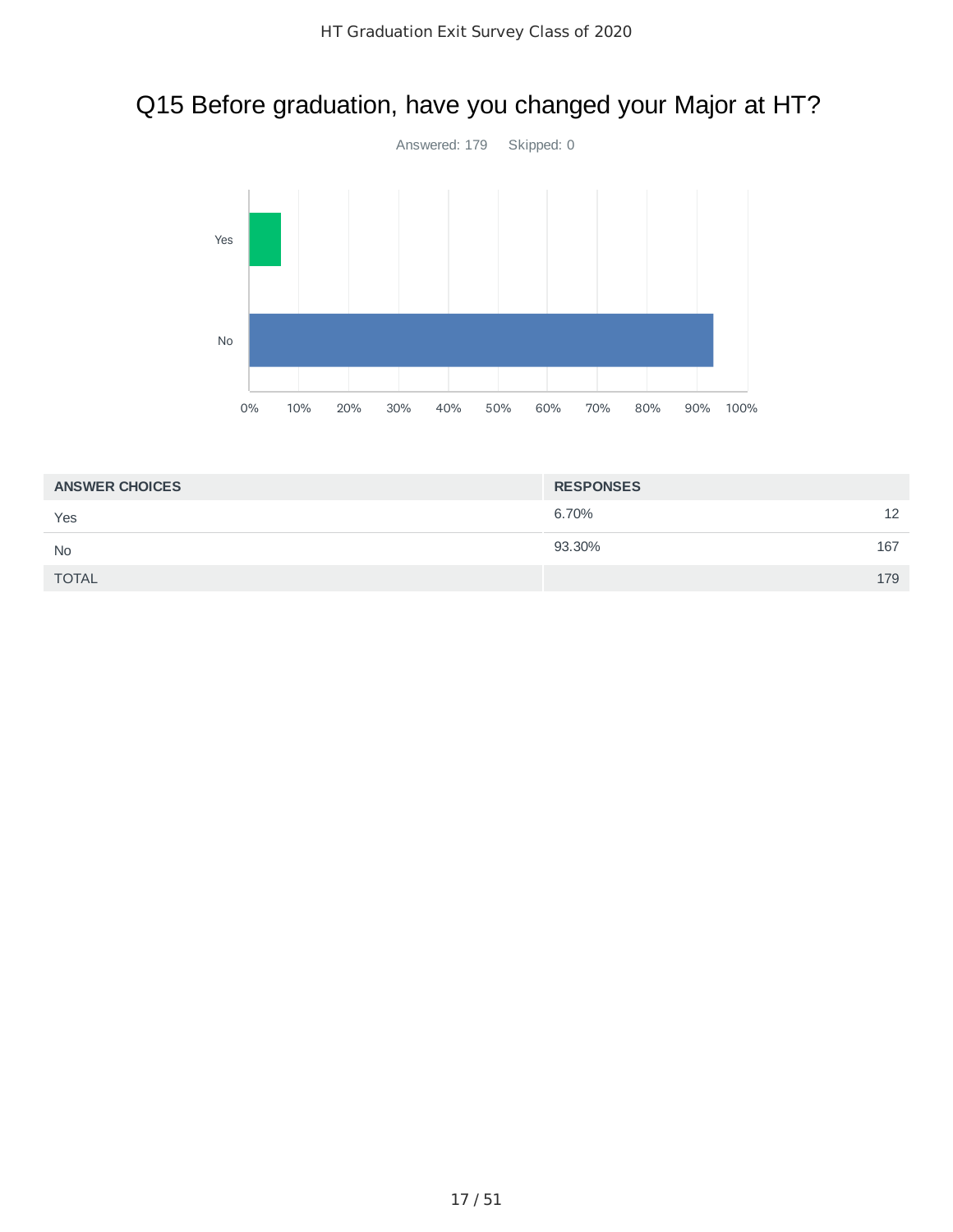# Q15 Before graduation, have you changed your Major at HT?



| <b>ANSWER CHOICES</b> | <b>RESPONSES</b> |     |
|-----------------------|------------------|-----|
| Yes                   | 6.70%            | 12  |
| <b>No</b>             | 93.30%           | 167 |
| <b>TOTAL</b>          |                  | 179 |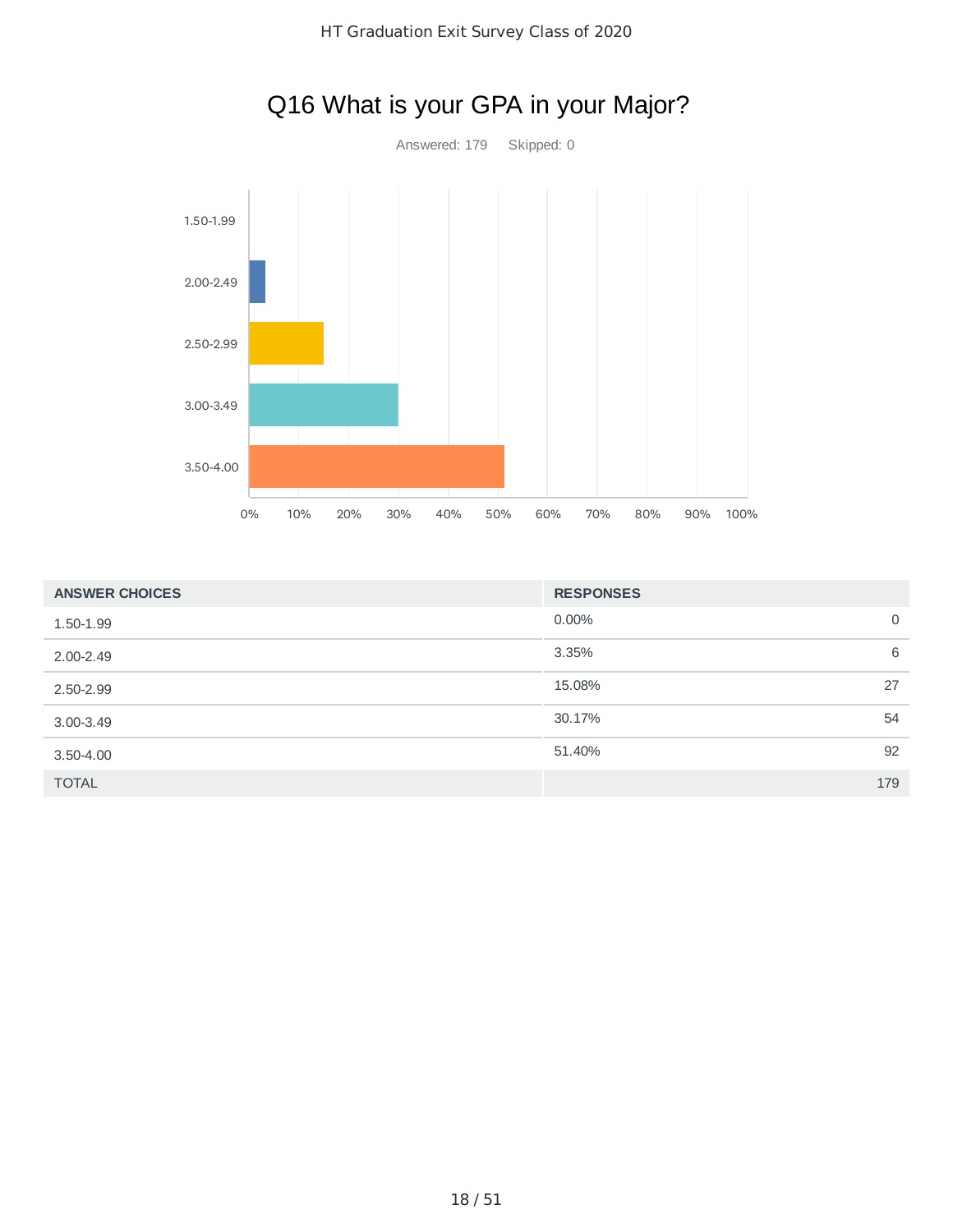

### Q16 What is your GPA in your Major?

| <b>ANSWER CHOICES</b> | <b>RESPONSES</b> |    |
|-----------------------|------------------|----|
| 1.50-1.99             | $0.00\%$         | 0  |
| $2.00 - 2.49$         | 3.35%            | 6  |
| 2.50-2.99             | 15.08%           | 27 |
| $3.00 - 3.49$         | 30.17%           | 54 |
| $3.50 - 4.00$         | 51.40%           | 92 |
| <b>TOTAL</b>          | 179              |    |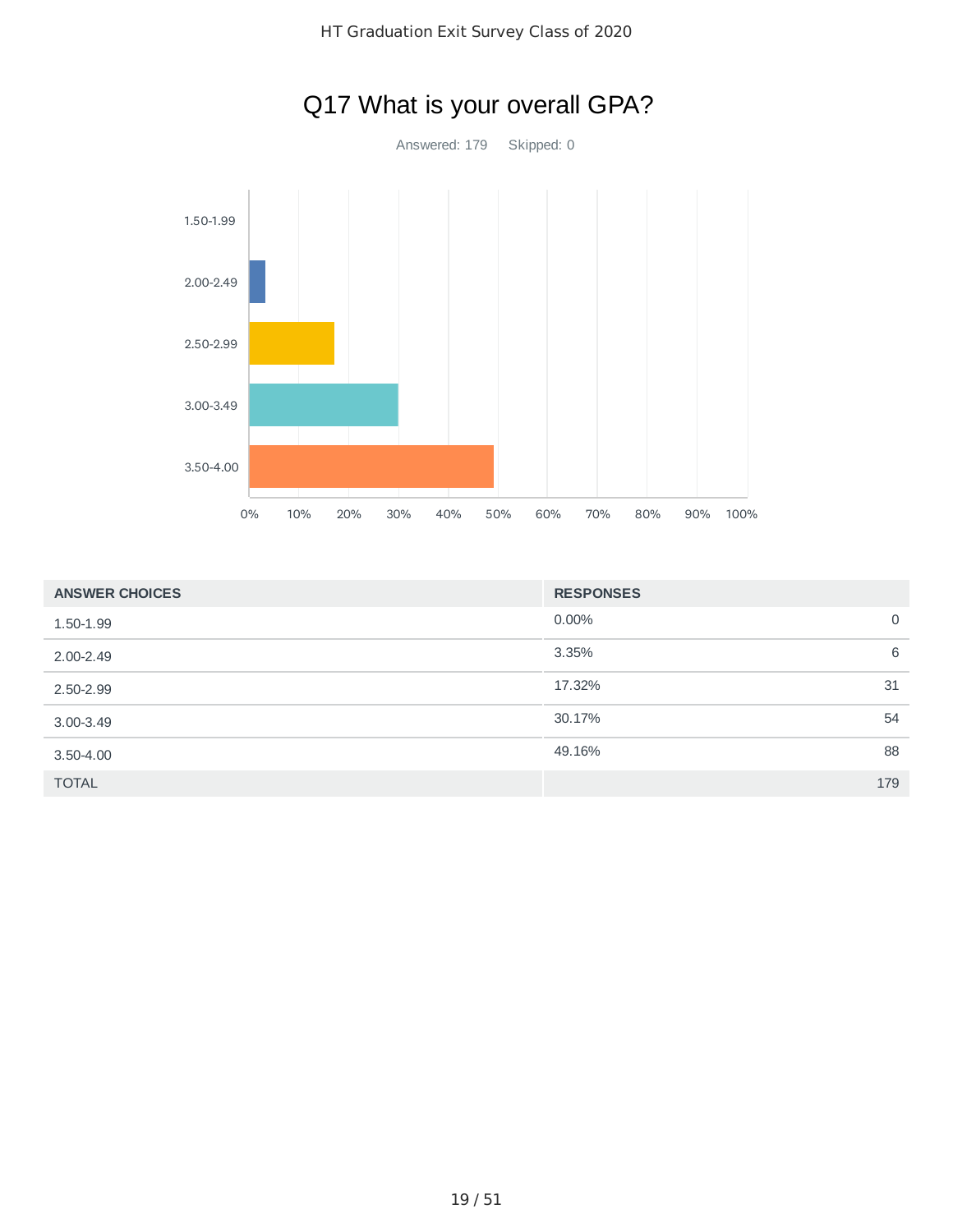

| <b>ANSWER CHOICES</b> | <b>RESPONSES</b> |     |
|-----------------------|------------------|-----|
| 1.50-1.99             | 0.00%            | 0   |
| 2.00-2.49             | 3.35%            | 6   |
| 2.50-2.99             | 17.32%           | 31  |
| $3.00 - 3.49$         | 30.17%           | 54  |
| $3.50 - 4.00$         | 49.16%           | 88  |
| <b>TOTAL</b>          |                  | 179 |

# Q17 What is your overall GPA?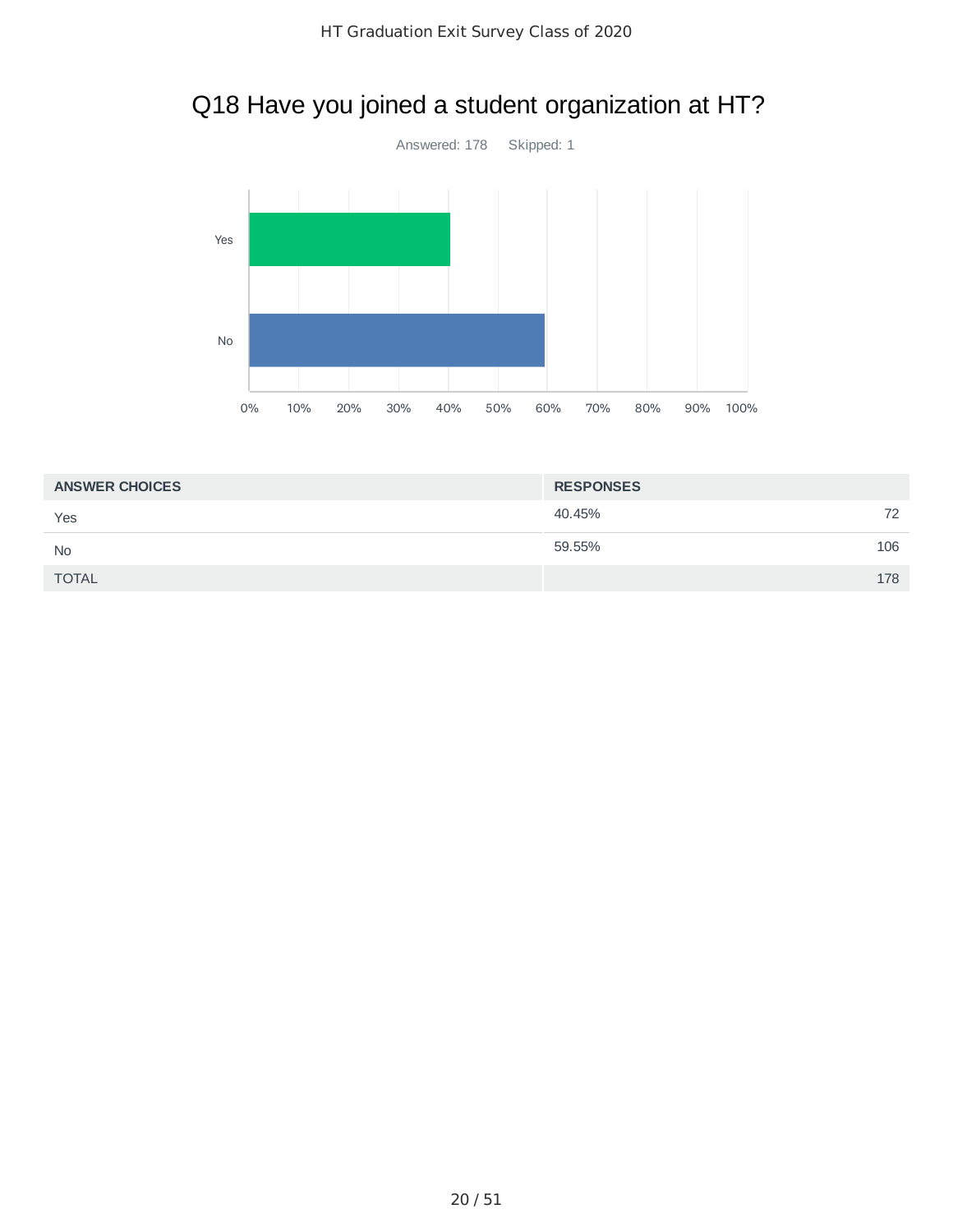# Q18 Have you joined a student organization at HT?



| <b>ANSWER CHOICES</b> | <b>RESPONSES</b> |     |
|-----------------------|------------------|-----|
| Yes                   | 40.45%           | 72  |
| <b>No</b>             | 59.55%           | 106 |
| <b>TOTAL</b>          |                  | 178 |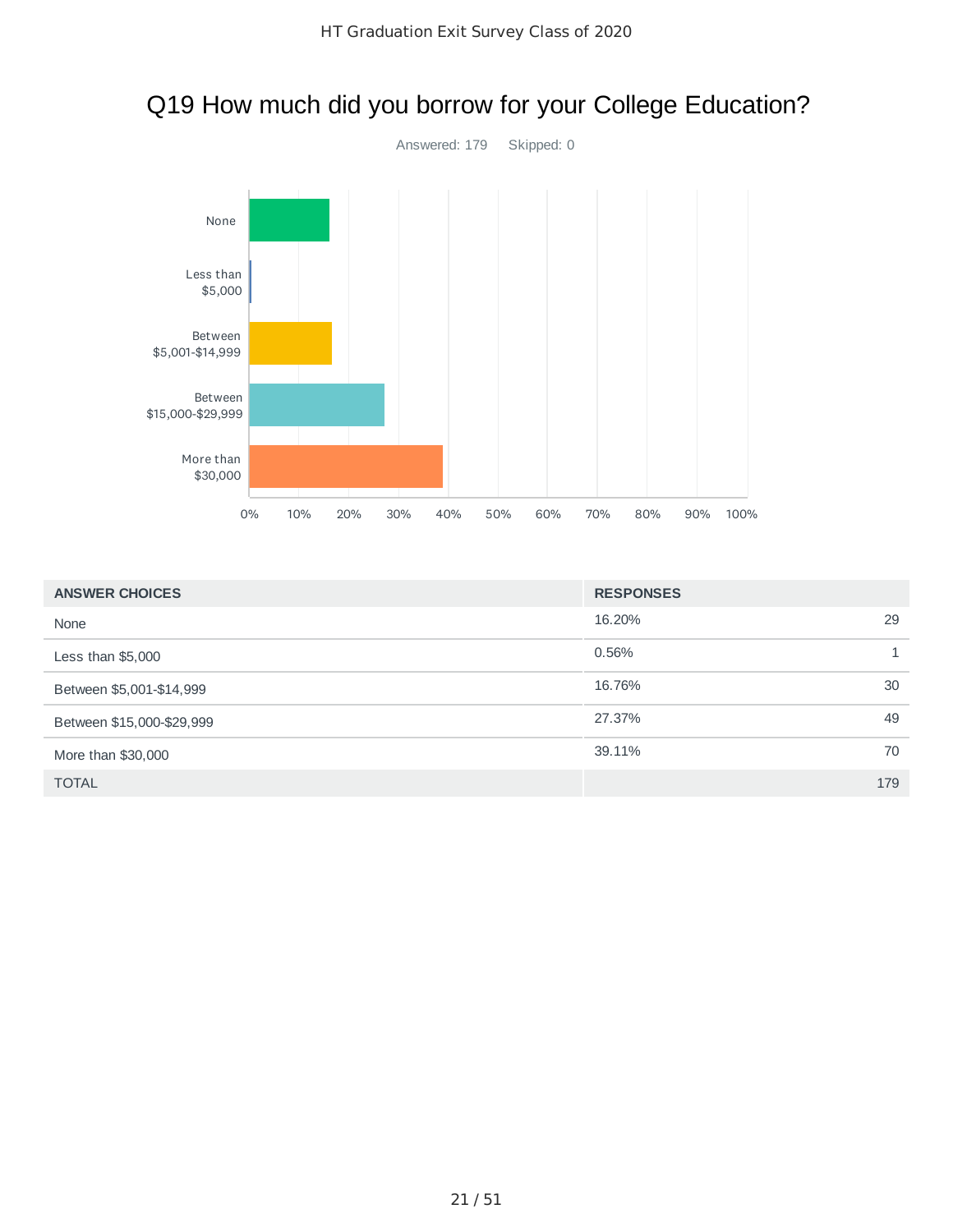

### Q19 How much did you borrow for your College Education?

| <b>ANSWER CHOICES</b>     | <b>RESPONSES</b> |
|---------------------------|------------------|
| None                      | 29<br>16.20%     |
| Less than $$5,000$        | 0.56%            |
| Between \$5,001-\$14,999  | 30<br>16.76%     |
| Between \$15,000-\$29,999 | 49<br>27.37%     |
| More than \$30,000        | 70<br>39.11%     |
| <b>TOTAL</b>              | 179              |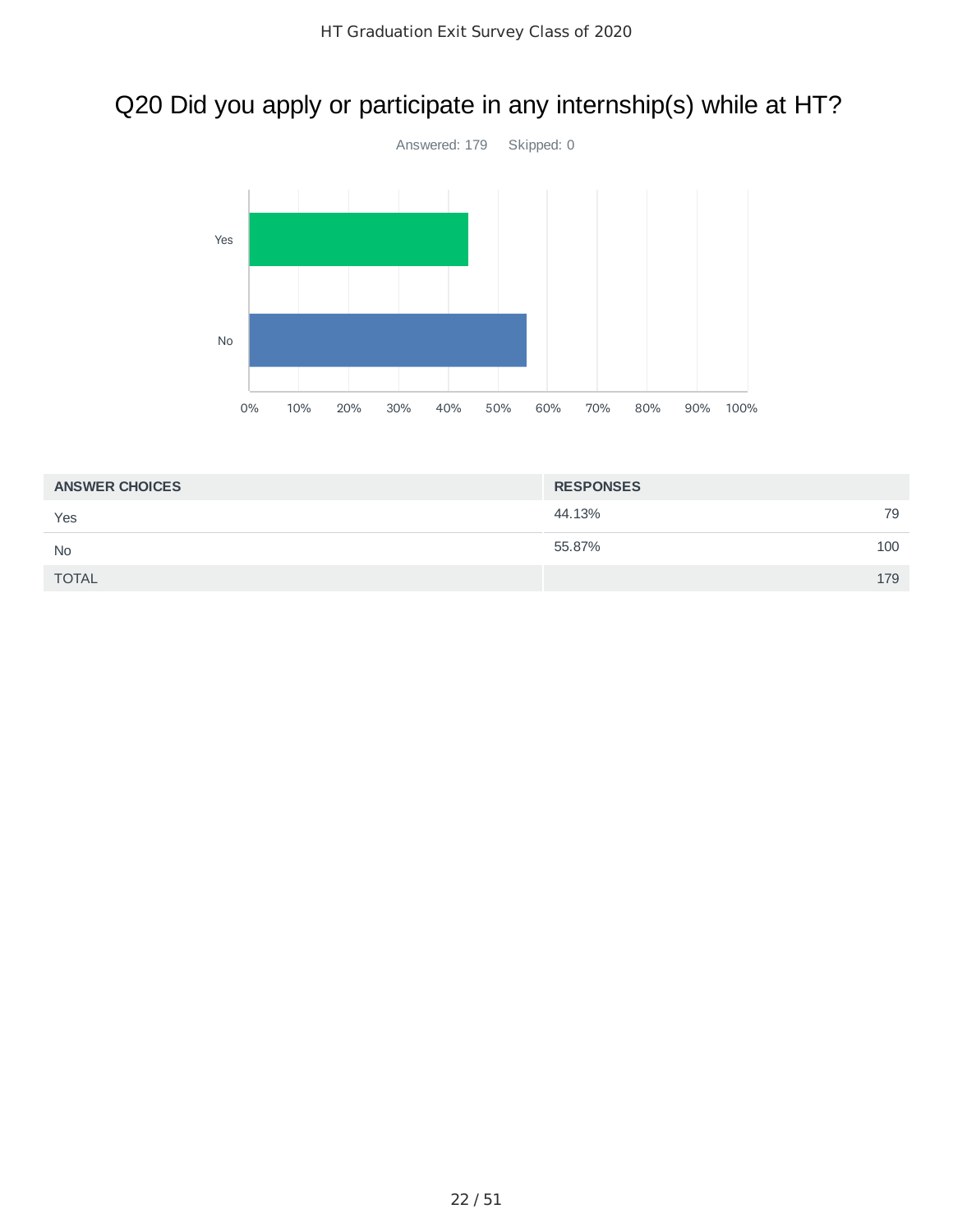# Q20 Did you apply or participate in any internship(s) while at HT?



| <b>ANSWER CHOICES</b> | <b>RESPONSES</b> |     |
|-----------------------|------------------|-----|
| Yes                   | 44.13%           | 79  |
| <b>No</b>             | 55.87%           | 100 |
| <b>TOTAL</b>          |                  | 179 |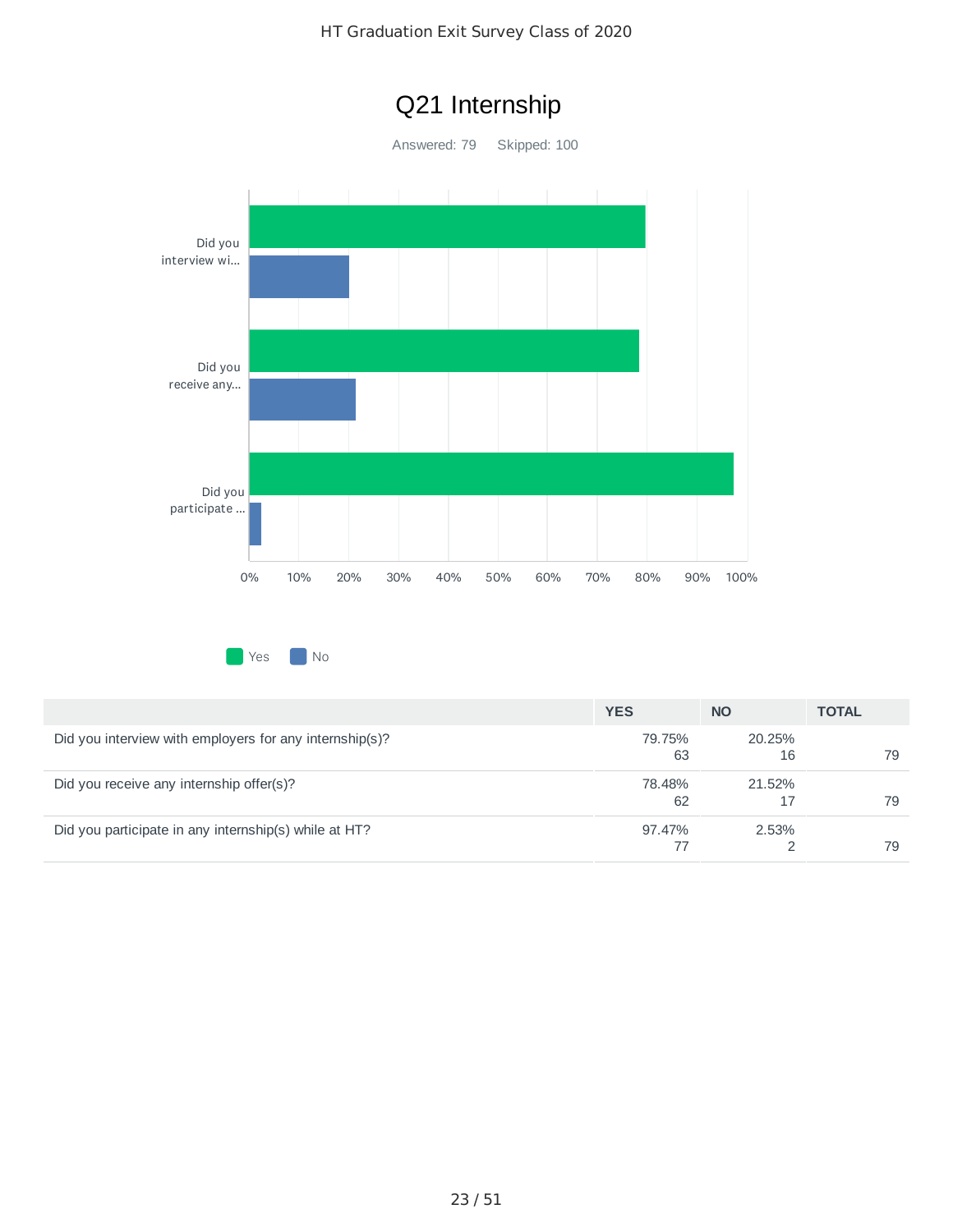### HT Graduation Exit Survey Class of 2020



|                                                         | <b>YES</b>   | <b>NO</b>    | <b>TOTAL</b> |
|---------------------------------------------------------|--------------|--------------|--------------|
| Did you interview with employers for any internship(s)? | 79.75%<br>63 | 20.25%<br>16 | 79           |
| Did you receive any internship offer(s)?                | 78.48%<br>62 | 21.52%       | 79           |
| Did you participate in any internship(s) while at HT?   | 97.47%       | 2.53%        | 79           |

#### 23 / 51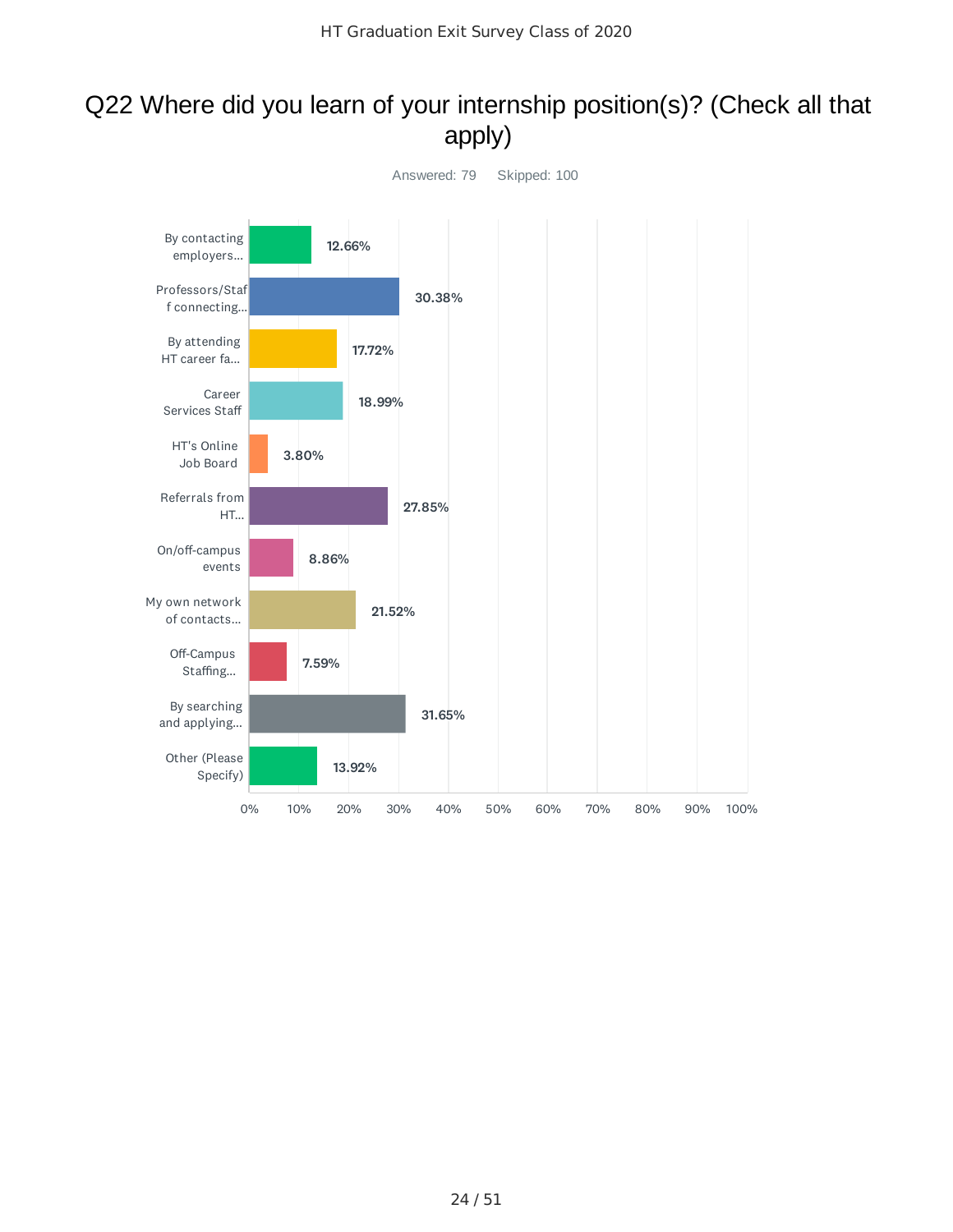### Q22 Where did you learn of your internship position(s)? (Check all that apply)

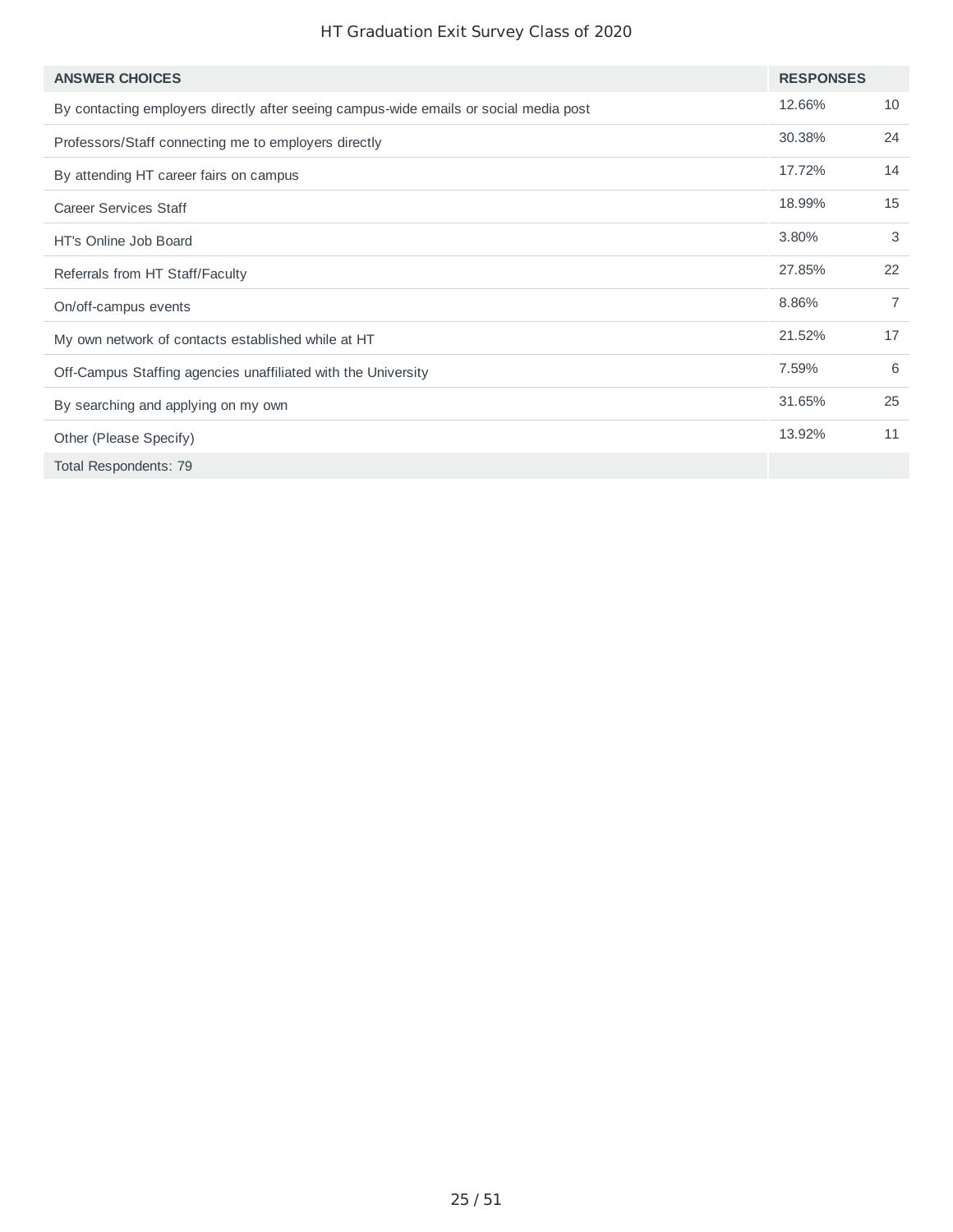### HT Graduation Exit Survey Class of 2020

| <b>ANSWER CHOICES</b>                                                                 | <b>RESPONSES</b> |                |
|---------------------------------------------------------------------------------------|------------------|----------------|
| By contacting employers directly after seeing campus-wide emails or social media post | 12.66%           | 10             |
| Professors/Staff connecting me to employers directly                                  | 30.38%           | 24             |
| By attending HT career fairs on campus                                                | 17.72%           | 14             |
| <b>Career Services Staff</b>                                                          | 18.99%           | 15             |
| HT's Online Job Board                                                                 | 3.80%            | 3              |
| Referrals from HT Staff/Faculty                                                       | 27.85%           | 22             |
| On/off-campus events                                                                  | 8.86%            | $\overline{7}$ |
| My own network of contacts established while at HT                                    | 21.52%           | 17             |
| Off-Campus Staffing agencies unaffiliated with the University                         | 7.59%            | 6              |
| By searching and applying on my own                                                   | 31.65%           | 25             |
| Other (Please Specify)                                                                | 13.92%           | 11             |
| Total Respondents: 79                                                                 |                  |                |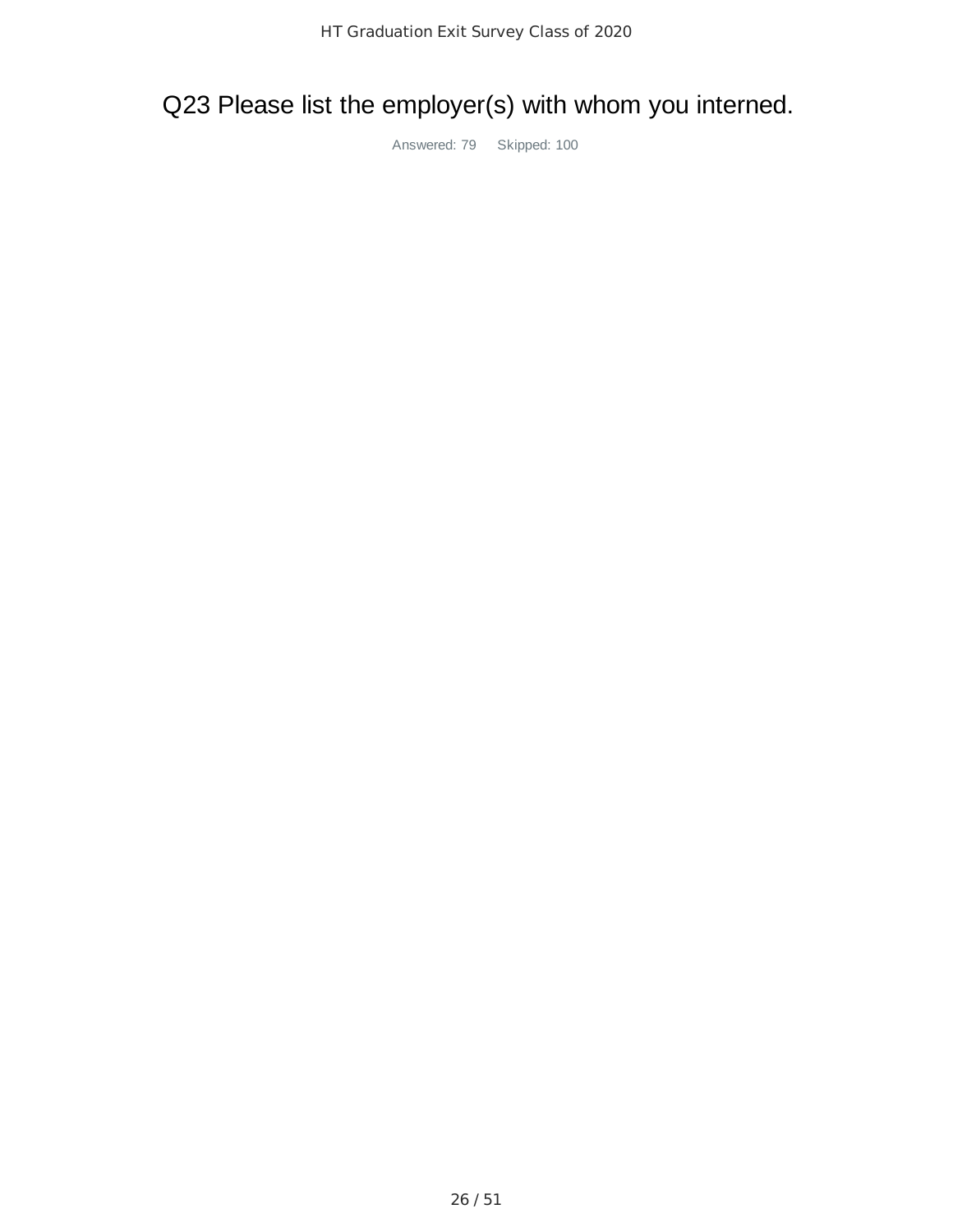# Q23 Please list the employer(s) with whom you interned.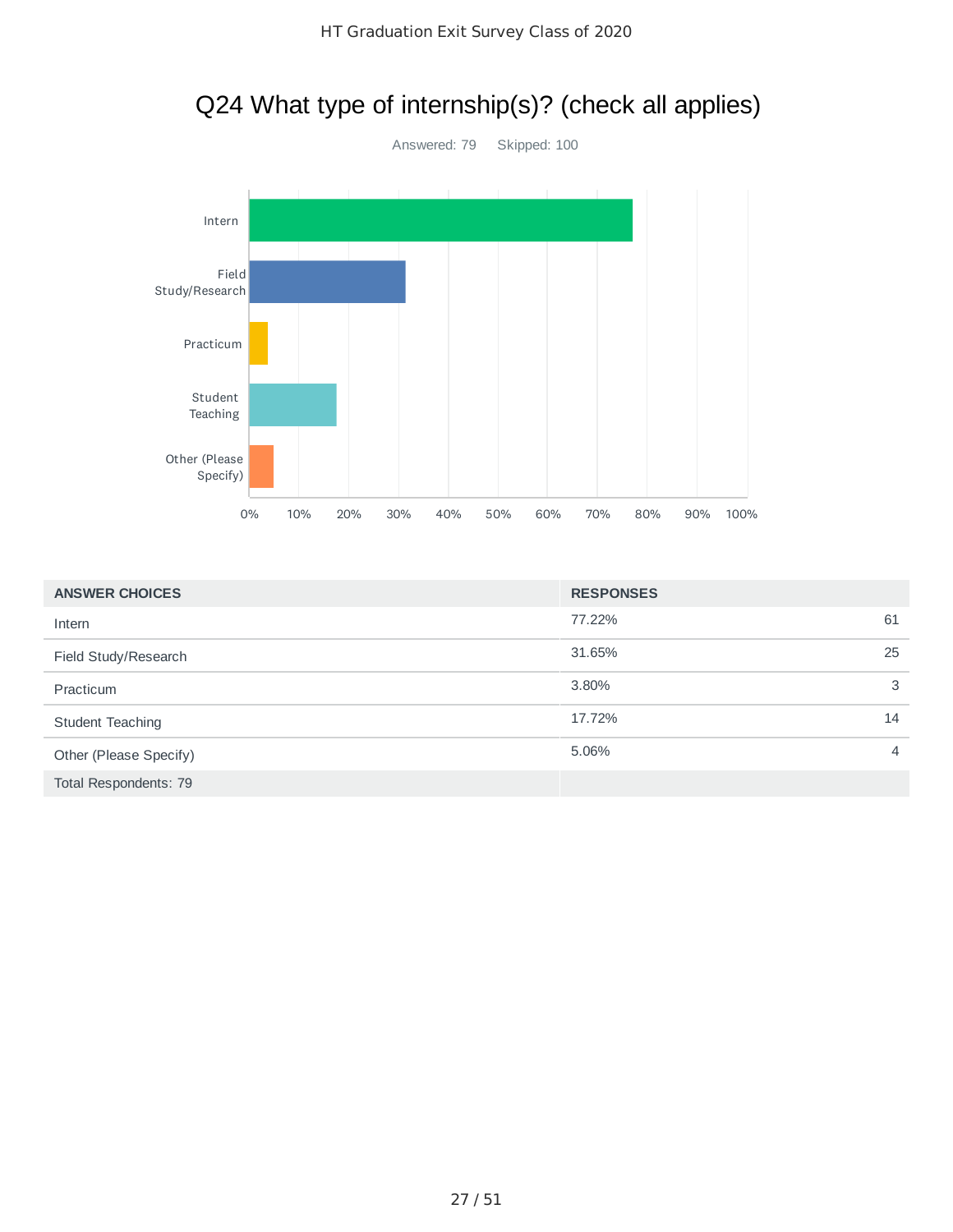# Q24 What type of internship(s)? (check all applies)



| <b>ANSWER CHOICES</b>  | <b>RESPONSES</b> |                |
|------------------------|------------------|----------------|
| Intern                 | 77.22%           | 61             |
| Field Study/Research   | 31.65%           | 25             |
| Practicum              | 3.80%            | 3              |
| Student Teaching       | 17.72%           | 14             |
| Other (Please Specify) | 5.06%            | $\overline{4}$ |
| Total Respondents: 79  |                  |                |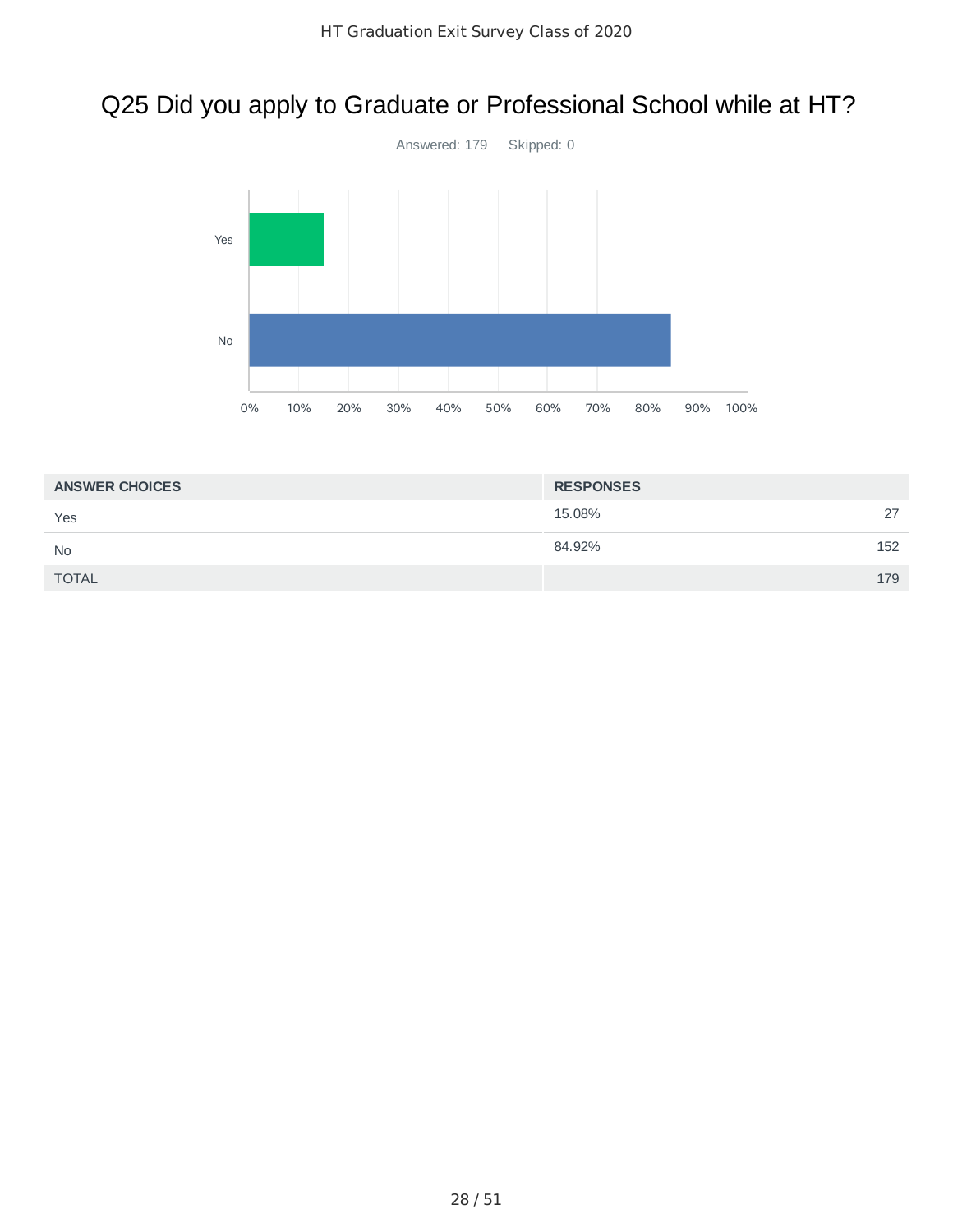# Q25 Did you apply to Graduate or Professional School while at HT?



| <b>ANSWER CHOICES</b> | <b>RESPONSES</b> |     |
|-----------------------|------------------|-----|
| Yes                   | 15.08%           | 27  |
| <b>No</b>             | 84.92%           | 152 |
| <b>TOTAL</b>          |                  | 179 |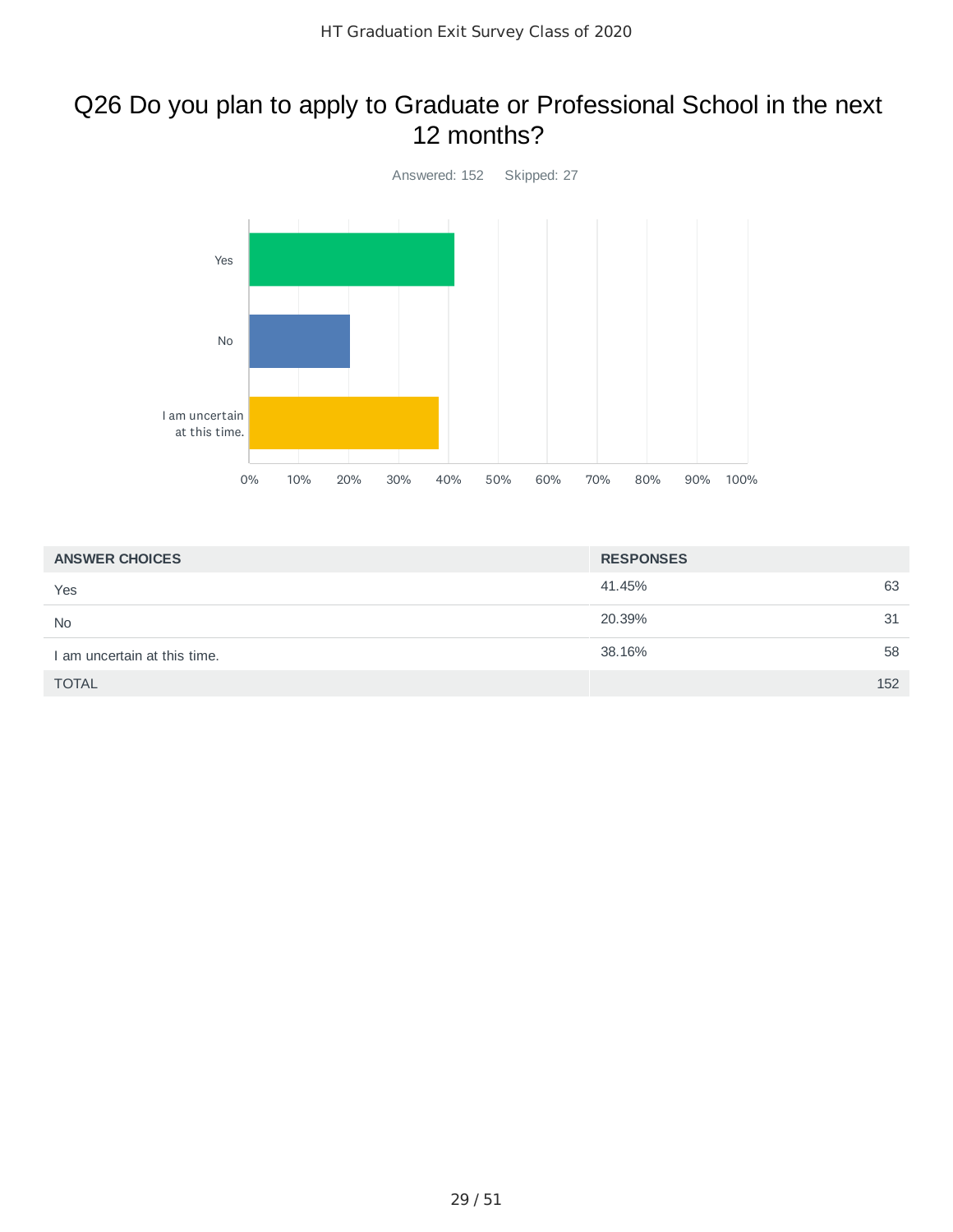### Q26 Do you plan to apply to Graduate or Professional School in the next 12 months?



| <b>ANSWER CHOICES</b>        | <b>RESPONSES</b> |    |
|------------------------------|------------------|----|
| Yes                          | 41.45%           | 63 |
| <b>No</b>                    | 20.39%           | 31 |
| I am uncertain at this time. | 38.16%           | 58 |
| <b>TOTAL</b>                 | 152              |    |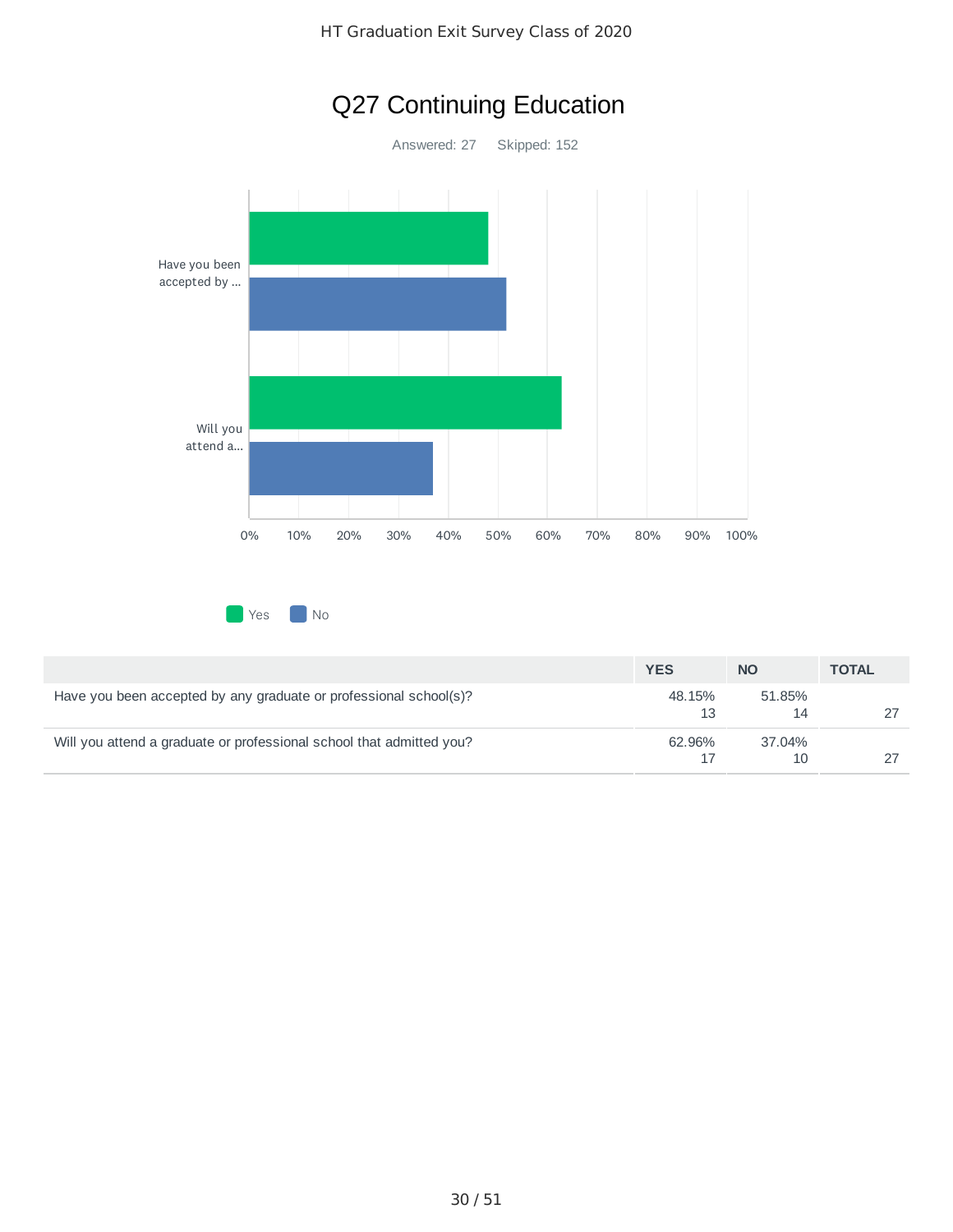

# Q27 Continuing Education

| Yes. | N٥ |
|------|----|
|      |    |

|                                                                      | <b>YES</b>   | <b>NO</b>    | <b>TOTAL</b> |
|----------------------------------------------------------------------|--------------|--------------|--------------|
| Have you been accepted by any graduate or professional school(s)?    | 48.15%<br>13 | 51.85%       |              |
| Will you attend a graduate or professional school that admitted you? | 62.96%       | 37.04%<br>10 |              |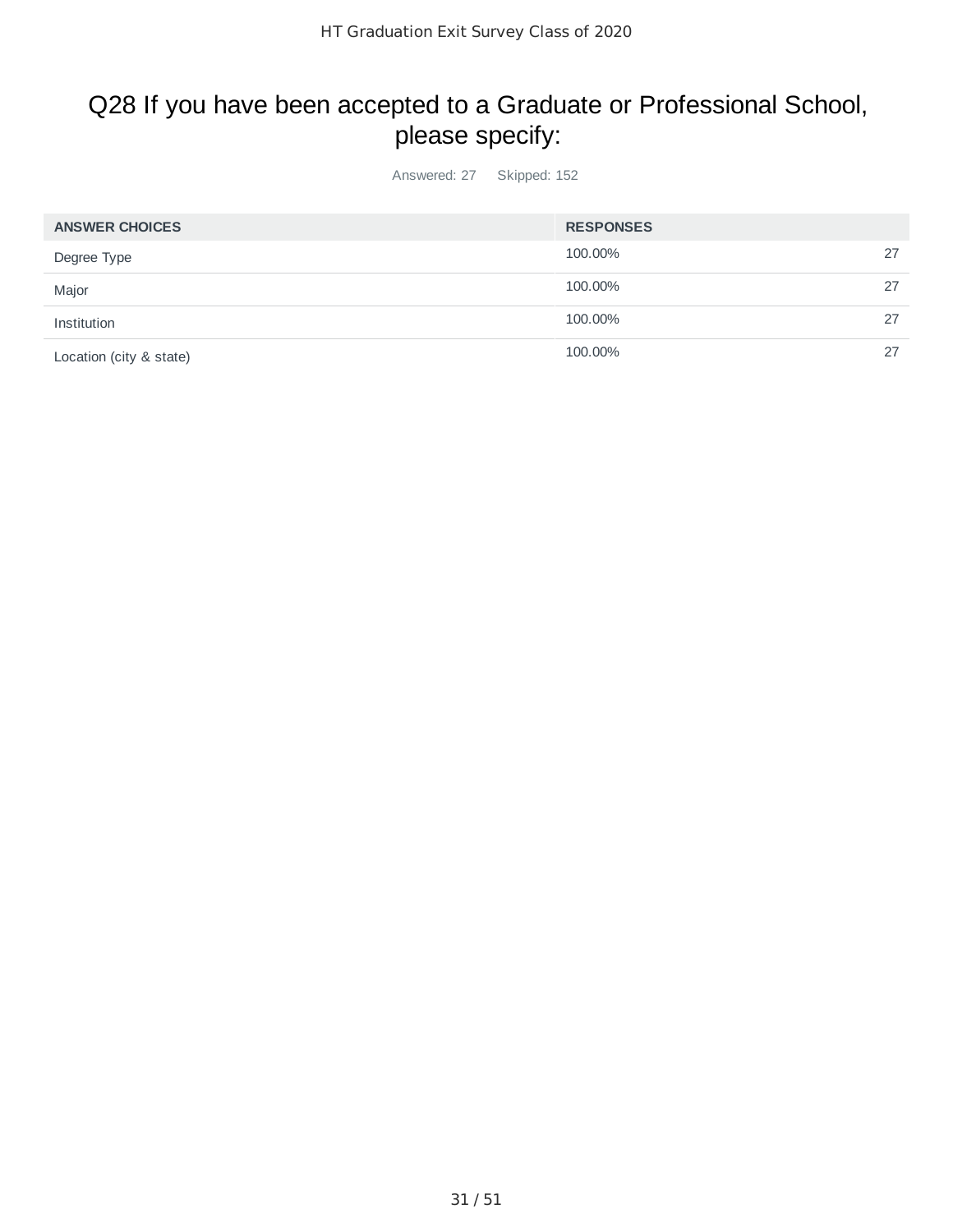## Q28 If you have been accepted to a Graduate or Professional School, please specify:

| <b>ANSWER CHOICES</b>   | <b>RESPONSES</b> |    |
|-------------------------|------------------|----|
| Degree Type             | 100.00%          | 27 |
| Major                   | 100.00%          | 27 |
| Institution             | 100.00%          | 27 |
| Location (city & state) | 100.00%          | 27 |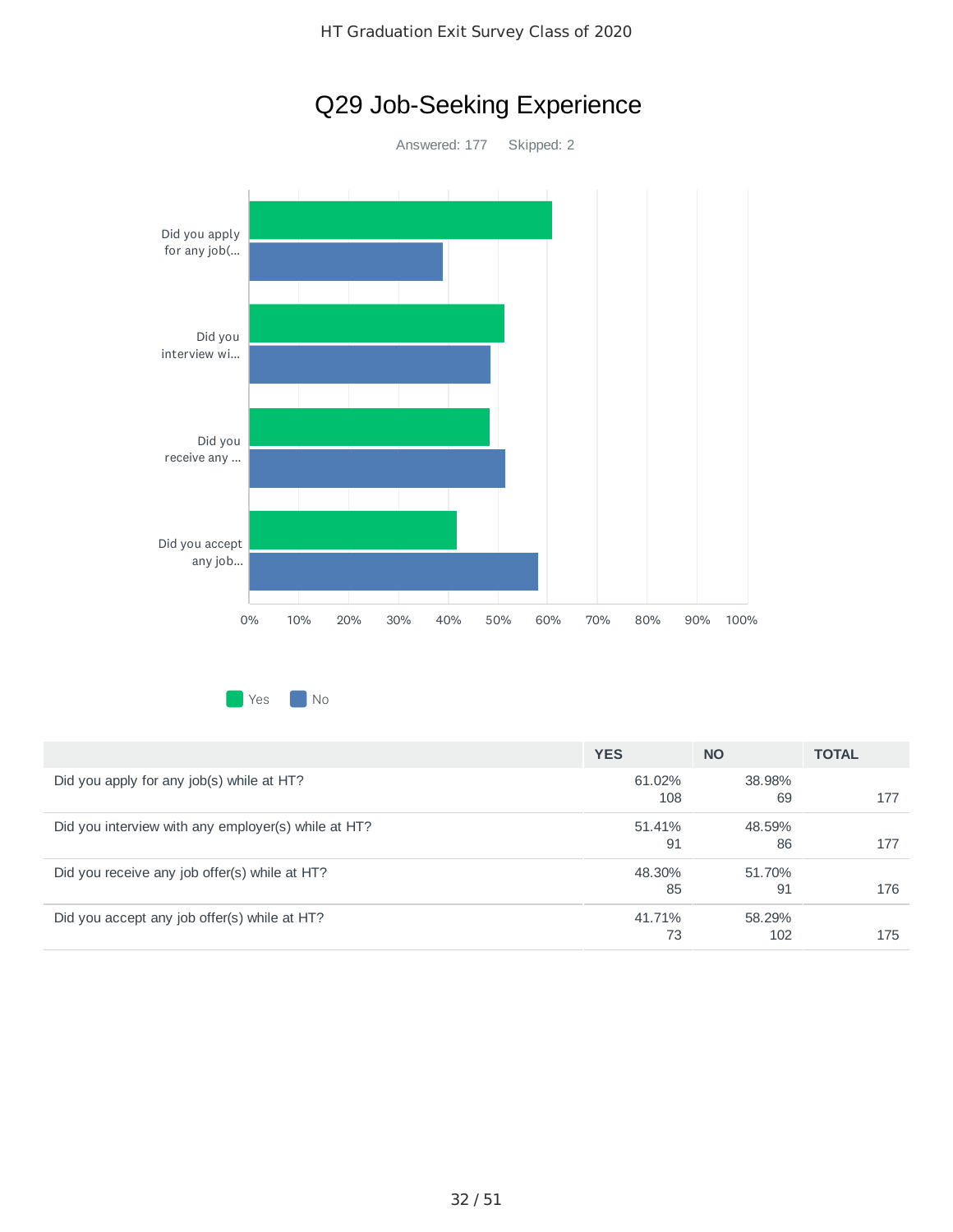

HT Graduation Exit Survey Class of 2020

Q29 Job-Seeking Experience

Yes Mo

|                                                     | <b>YES</b>    | <b>NO</b>     | <b>TOTAL</b> |
|-----------------------------------------------------|---------------|---------------|--------------|
| Did you apply for any job(s) while at HT?           | 61.02%<br>108 | 38.98%<br>69  | 177          |
| Did you interview with any employer(s) while at HT? | 51.41%<br>91  | 48.59%<br>86  | 177          |
| Did you receive any job offer(s) while at HT?       | 48.30%<br>85  | 51.70%<br>91  | 176          |
| Did you accept any job offer(s) while at HT?        | 41.71%<br>73  | 58.29%<br>102 | 175          |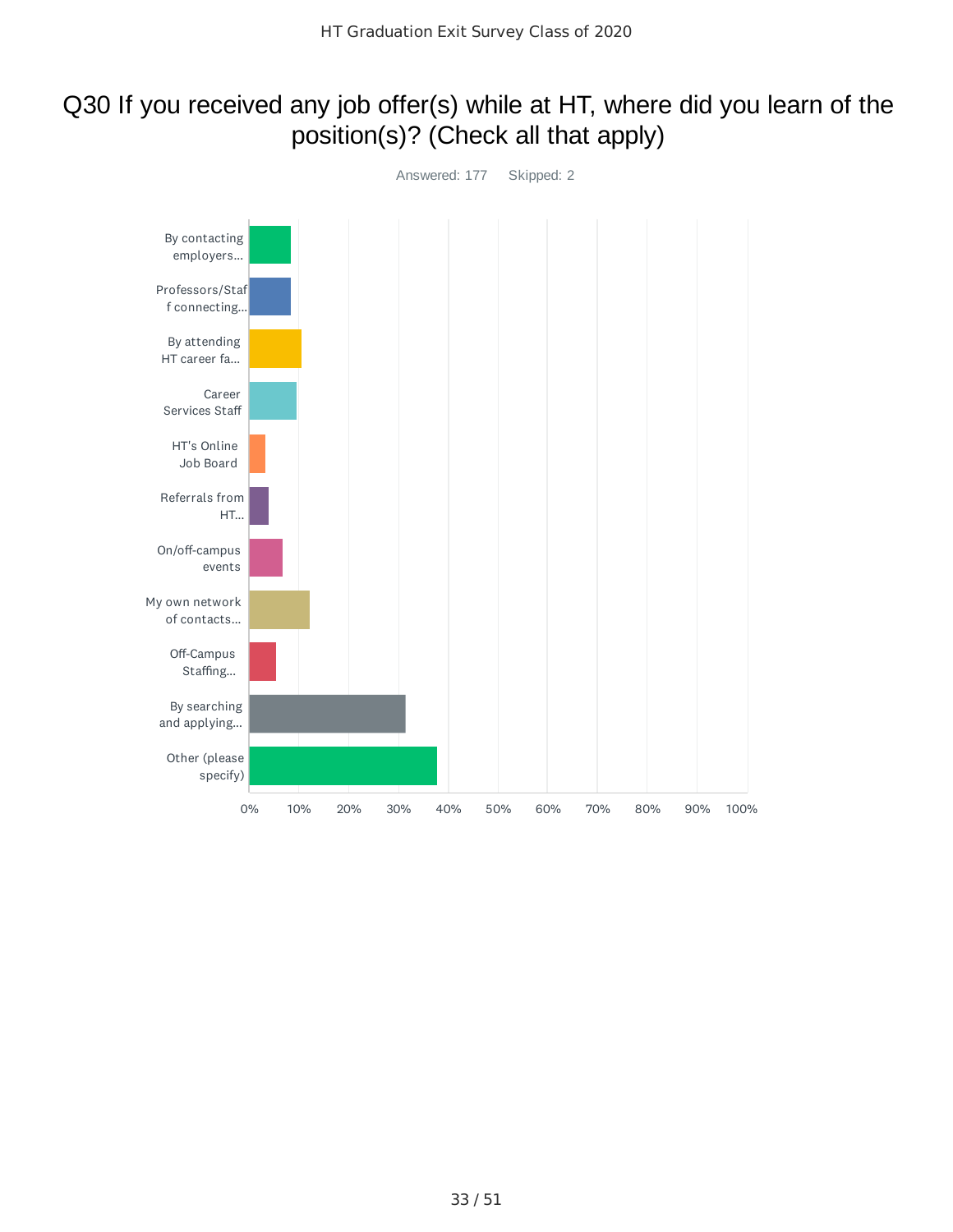### Q30 If you received any job offer(s) while at HT, where did you learn of the position(s)? (Check all that apply)

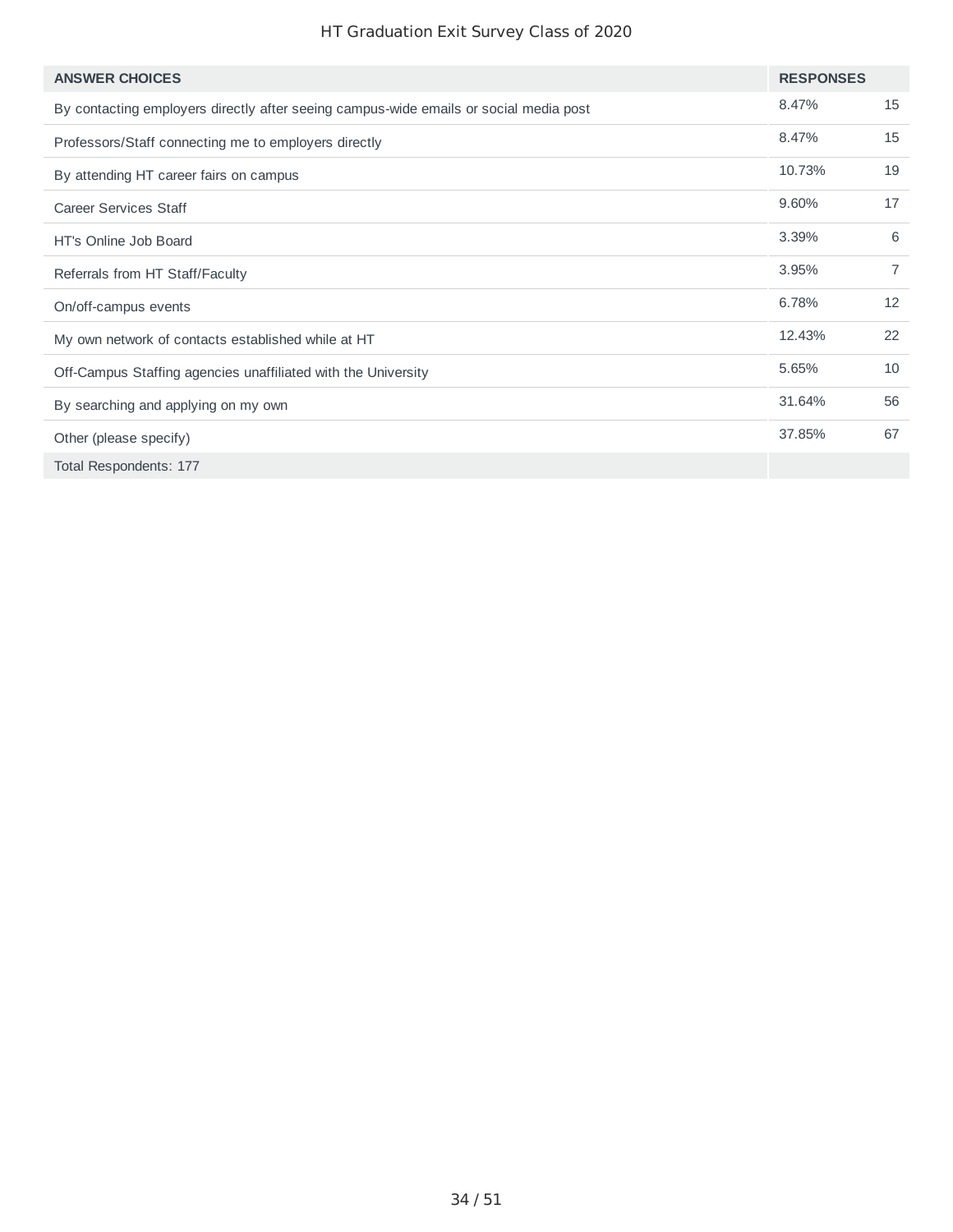### HT Graduation Exit Survey Class of 2020

| <b>ANSWER CHOICES</b>                                                                 | <b>RESPONSES</b> |                |
|---------------------------------------------------------------------------------------|------------------|----------------|
| By contacting employers directly after seeing campus-wide emails or social media post | 8.47%            | 15             |
| Professors/Staff connecting me to employers directly                                  | 8.47%            | 15             |
| By attending HT career fairs on campus                                                | 10.73%           | 19             |
| <b>Career Services Staff</b>                                                          | 9.60%            | 17             |
| HT's Online Job Board                                                                 | 3.39%            | 6              |
| Referrals from HT Staff/Faculty                                                       | 3.95%            | $\overline{7}$ |
| On/off-campus events                                                                  | 6.78%            | 12             |
| My own network of contacts established while at HT                                    | 12.43%           | 22             |
| Off-Campus Staffing agencies unaffiliated with the University                         | 5.65%            | 10             |
| By searching and applying on my own                                                   | 31.64%           | 56             |
| Other (please specify)                                                                | 37.85%           | 67             |
| Total Respondents: 177                                                                |                  |                |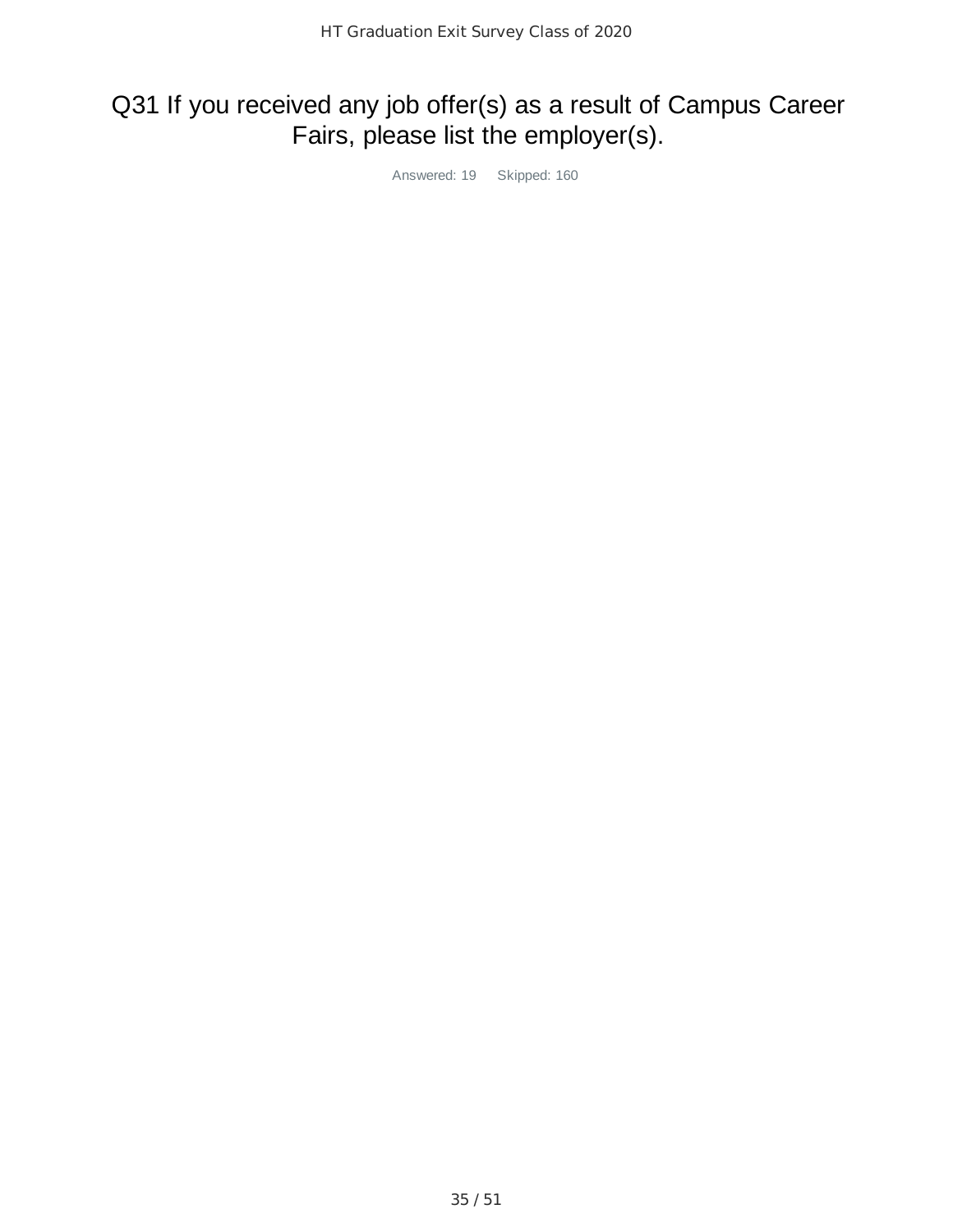## Q31 If you received any job offer(s) as a result of Campus Career Fairs, please list the employer(s).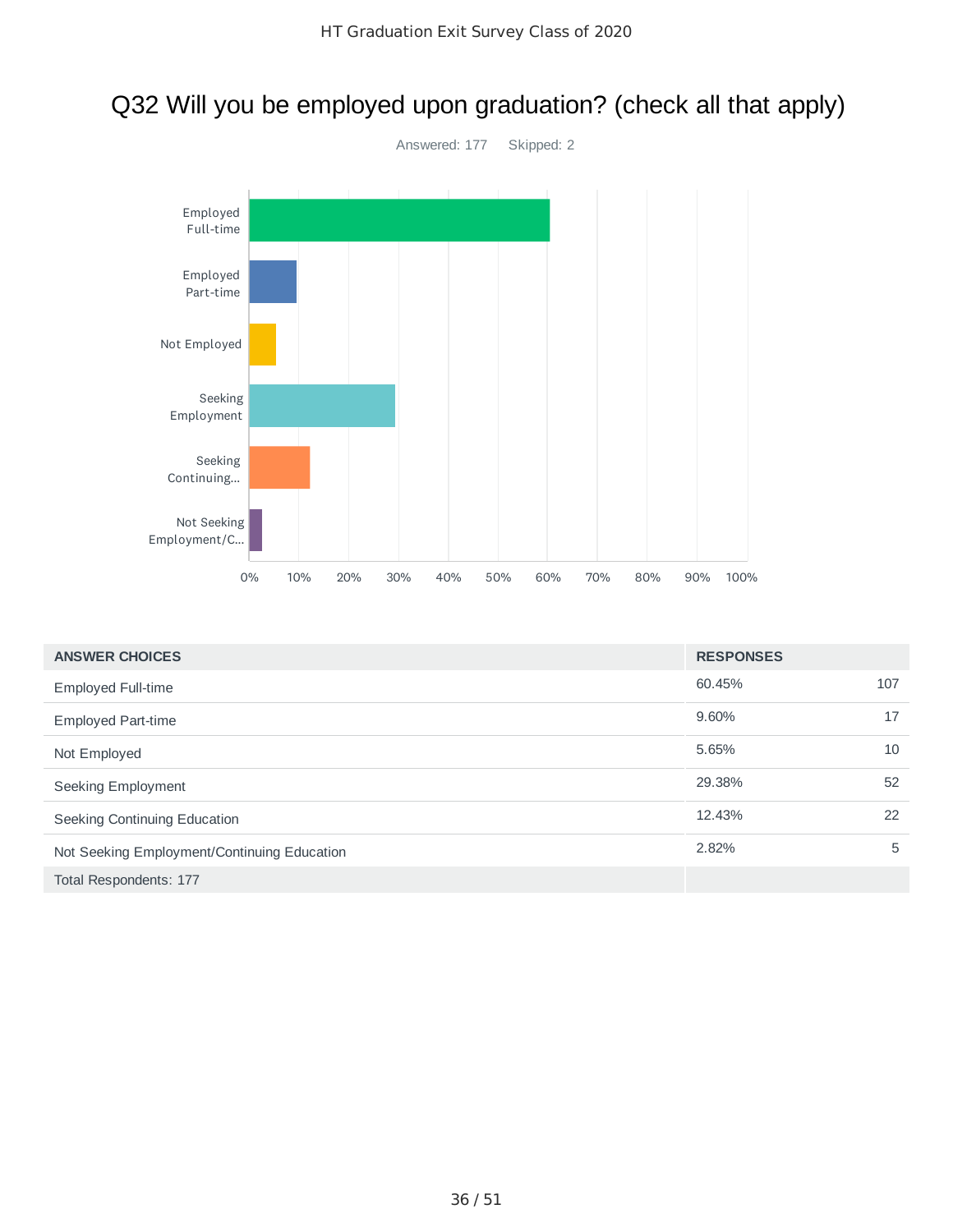### Q32 Will you be employed upon graduation? (check all that apply)



| <b>ANSWER CHOICES</b>                       | <b>RESPONSES</b> |     |
|---------------------------------------------|------------------|-----|
| Employed Full-time                          | 60.45%           | 107 |
| <b>Employed Part-time</b>                   | 9.60%            | 17  |
| Not Employed                                | 5.65%            | 10  |
| Seeking Employment                          | 29.38%           | 52  |
| Seeking Continuing Education                | 12.43%           | 22  |
| Not Seeking Employment/Continuing Education | 2.82%            | 5   |
| Total Respondents: 177                      |                  |     |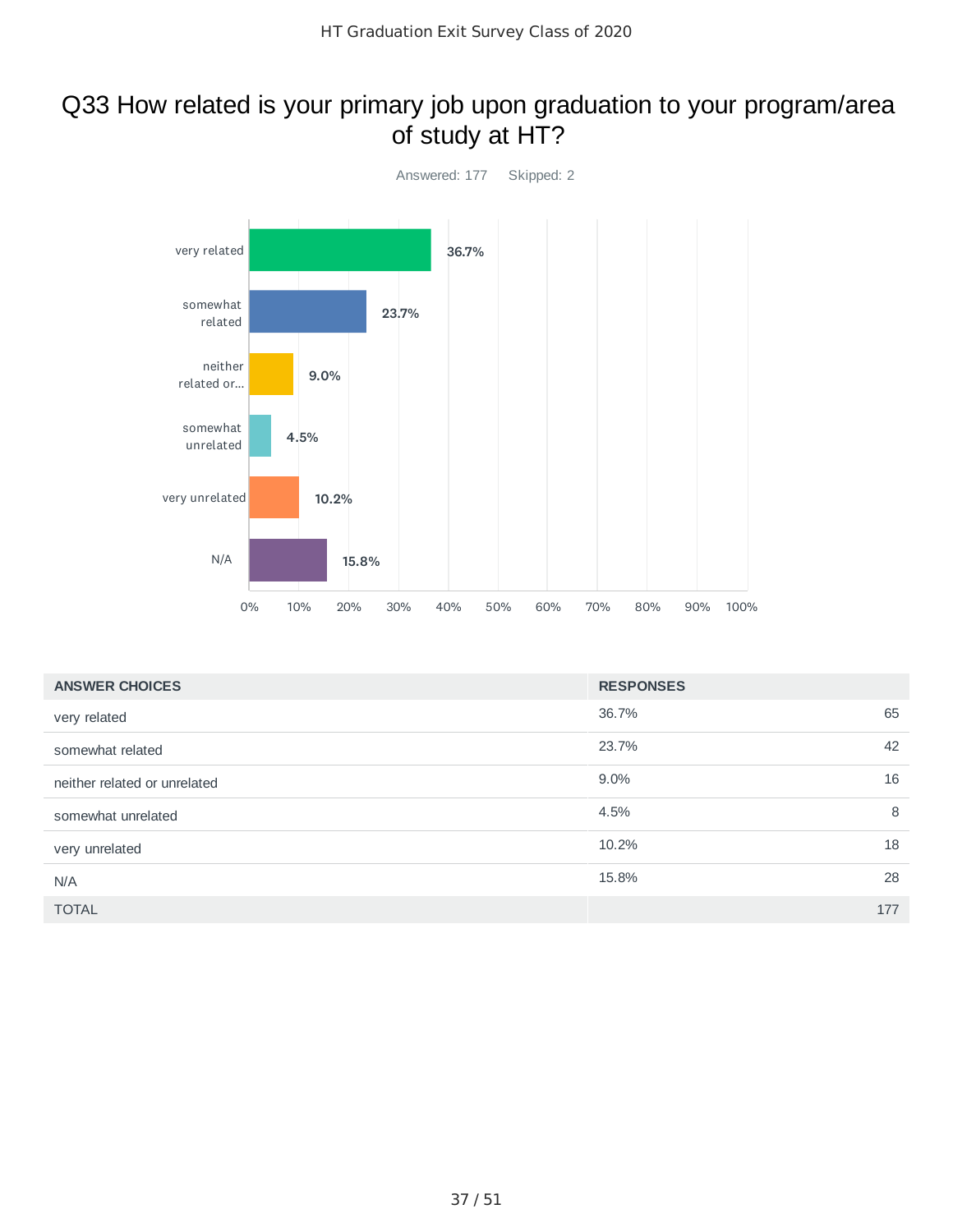### Q33 How related is your primary job upon graduation to your program/area of study at HT?



| <b>ANSWER CHOICES</b>        | <b>RESPONSES</b> |     |
|------------------------------|------------------|-----|
| very related                 | 36.7%            | 65  |
| somewhat related             | 23.7%            | 42  |
| neither related or unrelated | $9.0\%$          | 16  |
| somewhat unrelated           | 4.5%             | 8   |
| very unrelated               | 10.2%            | 18  |
| N/A                          | 15.8%            | 28  |
| <b>TOTAL</b>                 |                  | 177 |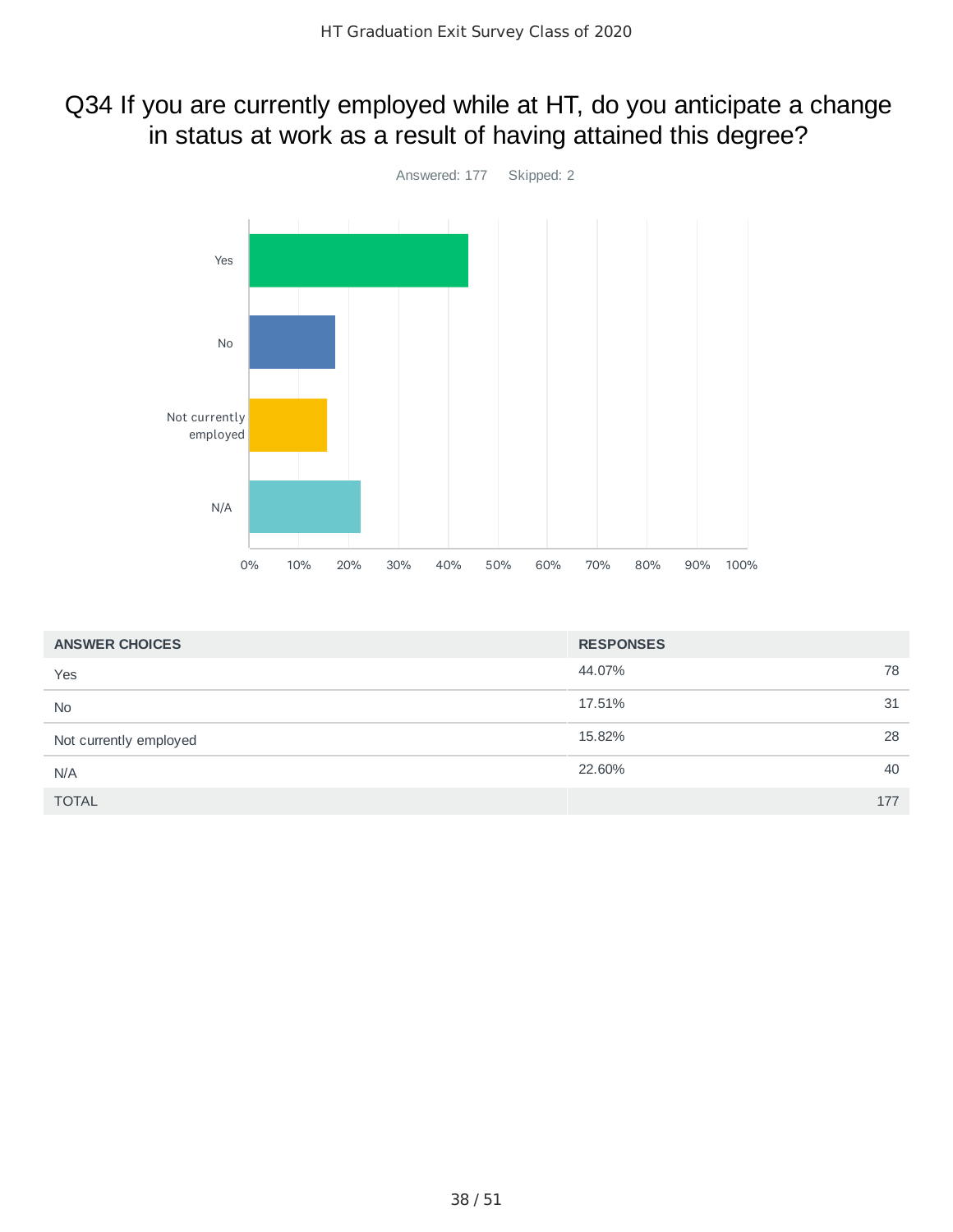### Q34 If you are currently employed while at HT, do you anticipate a change in status at work as a result of having attained this degree?



| <b>ANSWER CHOICES</b>  | <b>RESPONSES</b> |  |
|------------------------|------------------|--|
| Yes                    | 78<br>44.07%     |  |
| <b>No</b>              | 17.51%<br>31     |  |
| Not currently employed | 28<br>15.82%     |  |
| N/A                    | 40<br>22.60%     |  |
| <b>TOTAL</b>           | 177              |  |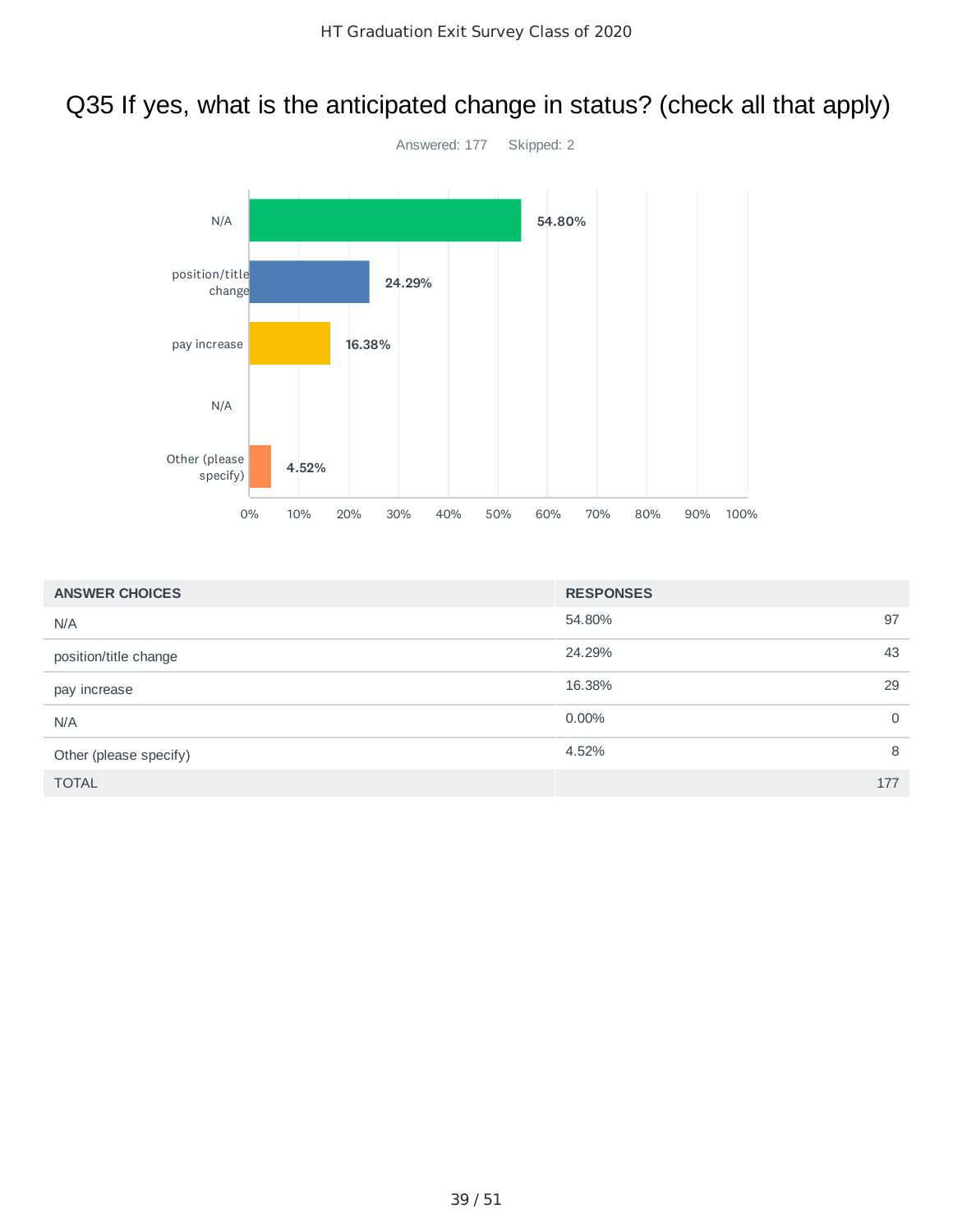## Q35 If yes, what is the anticipated change in status? (check all that apply)



| <b>ANSWER CHOICES</b>  | <b>RESPONSES</b> |     |
|------------------------|------------------|-----|
| N/A                    | 54.80%           | 97  |
| position/title change  | 24.29%           | 43  |
| pay increase           | 16.38%           | 29  |
| N/A                    | $0.00\%$         | 0   |
| Other (please specify) | 4.52%            | 8   |
| <b>TOTAL</b>           |                  | 177 |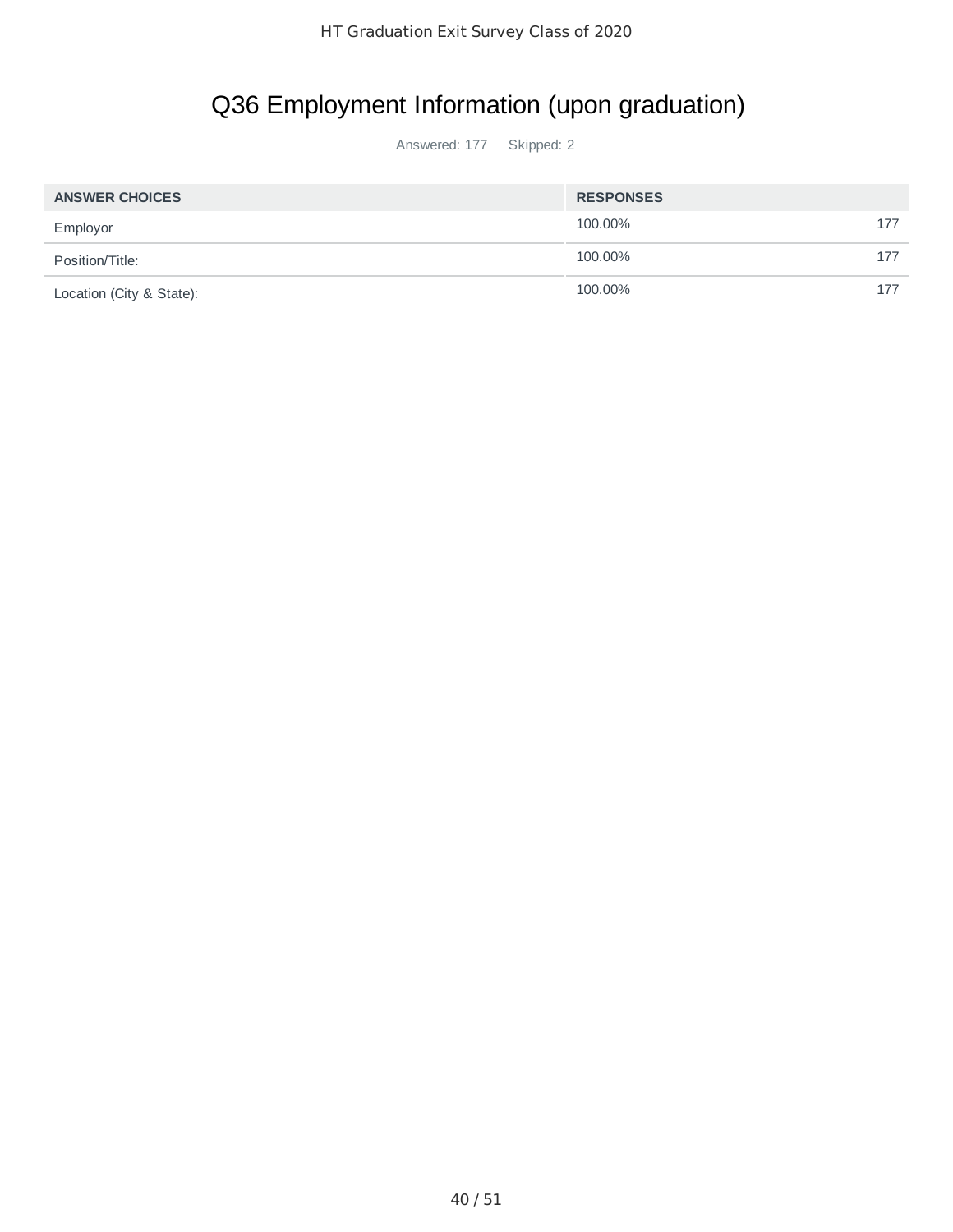# Q36 Employment Information (upon graduation)

| <b>ANSWER CHOICES</b>    | <b>RESPONSES</b> |     |
|--------------------------|------------------|-----|
| Employor                 | 100.00%          | 177 |
| Position/Title:          | 100.00%          | 177 |
| Location (City & State): | 100.00%          | 177 |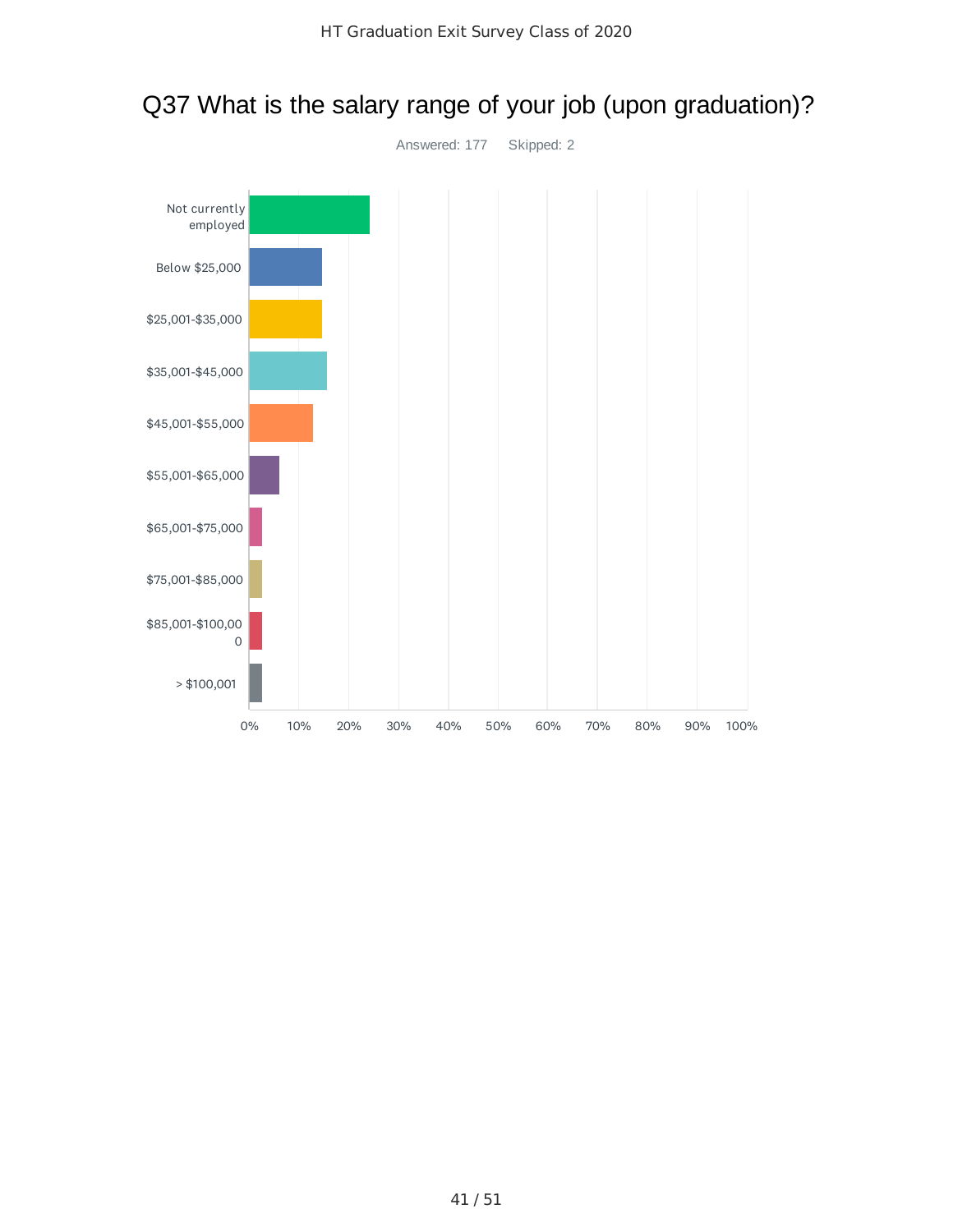

### Q37 What is the salary range of your job (upon graduation)?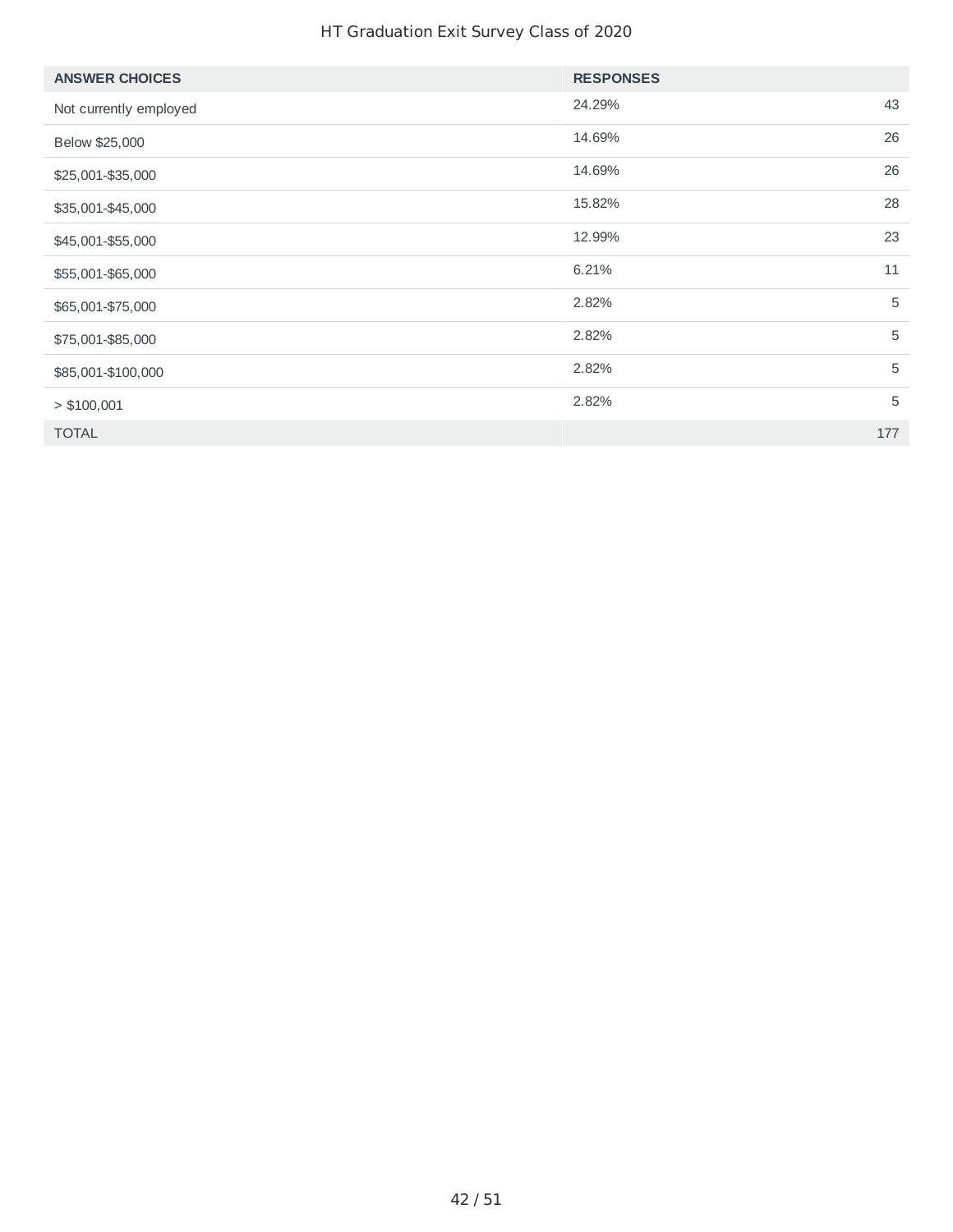### HT Graduation Exit Survey Class of 2020

| <b>ANSWER CHOICES</b>  | <b>RESPONSES</b> |     |
|------------------------|------------------|-----|
| Not currently employed | 24.29%           | 43  |
| Below \$25,000         | 14.69%           | 26  |
| \$25,001-\$35,000      | 14.69%           | 26  |
| \$35,001-\$45,000      | 15.82%           | 28  |
| \$45,001-\$55,000      | 12.99%           | 23  |
| \$55,001-\$65,000      | 6.21%            | 11  |
| \$65,001-\$75,000      | 2.82%            | 5   |
| \$75,001-\$85,000      | 2.82%            | 5   |
| \$85,001-\$100,000     | 2.82%            | 5   |
| > \$100,001            | 2.82%            | 5   |
| <b>TOTAL</b>           |                  | 177 |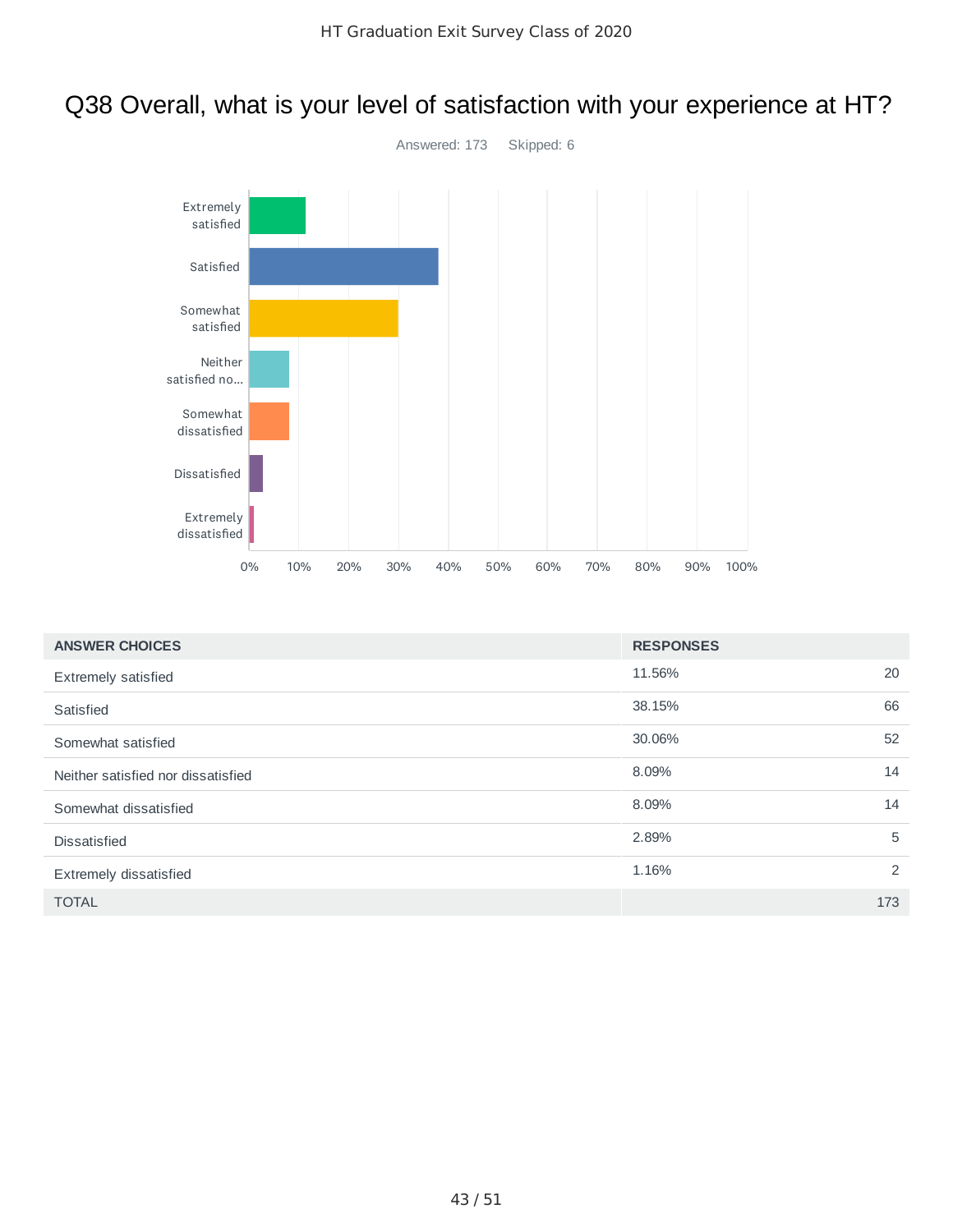## Q38 Overall, what is your level of satisfaction with your experience at HT?



| <b>ANSWER CHOICES</b>              | <b>RESPONSES</b> |     |
|------------------------------------|------------------|-----|
| <b>Extremely satisfied</b>         | 11.56%           | 20  |
| Satisfied                          | 38.15%           | 66  |
| Somewhat satisfied                 | 30.06%           | 52  |
| Neither satisfied nor dissatisfied | 8.09%            | 14  |
| Somewhat dissatisfied              | 8.09%            | 14  |
| <b>Dissatisfied</b>                | 2.89%            | 5   |
| Extremely dissatisfied             | 1.16%            | 2   |
| <b>TOTAL</b>                       |                  | 173 |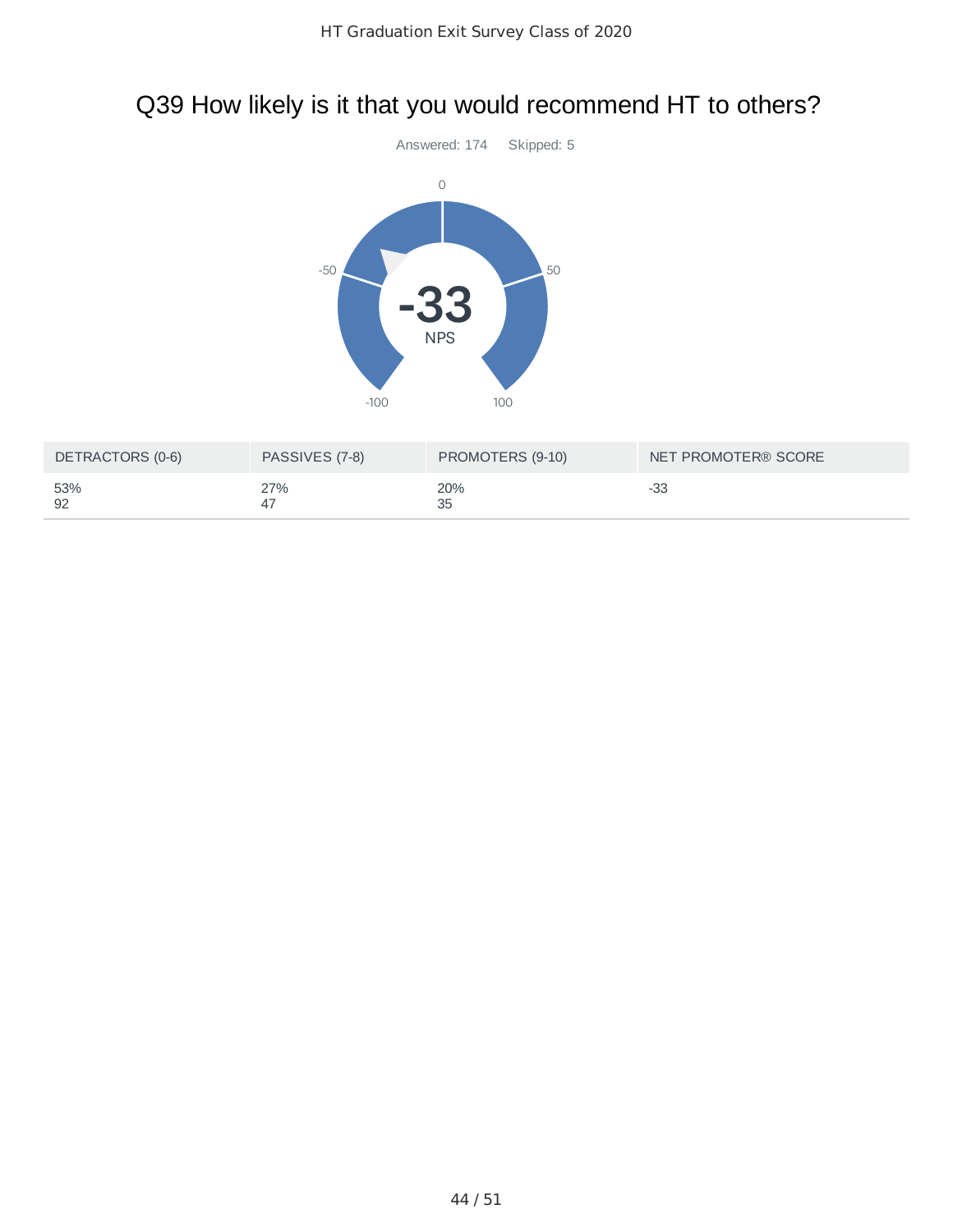### Q39 How likely is it that you would recommend HT to others?



| DETRACTORS (0-6) | PASSIVES (7-8) | PROMOTERS (9-10) | NET PROMOTER® SCORE |
|------------------|----------------|------------------|---------------------|
| 53%<br>92        | 27%            | 20%<br>35        | -33                 |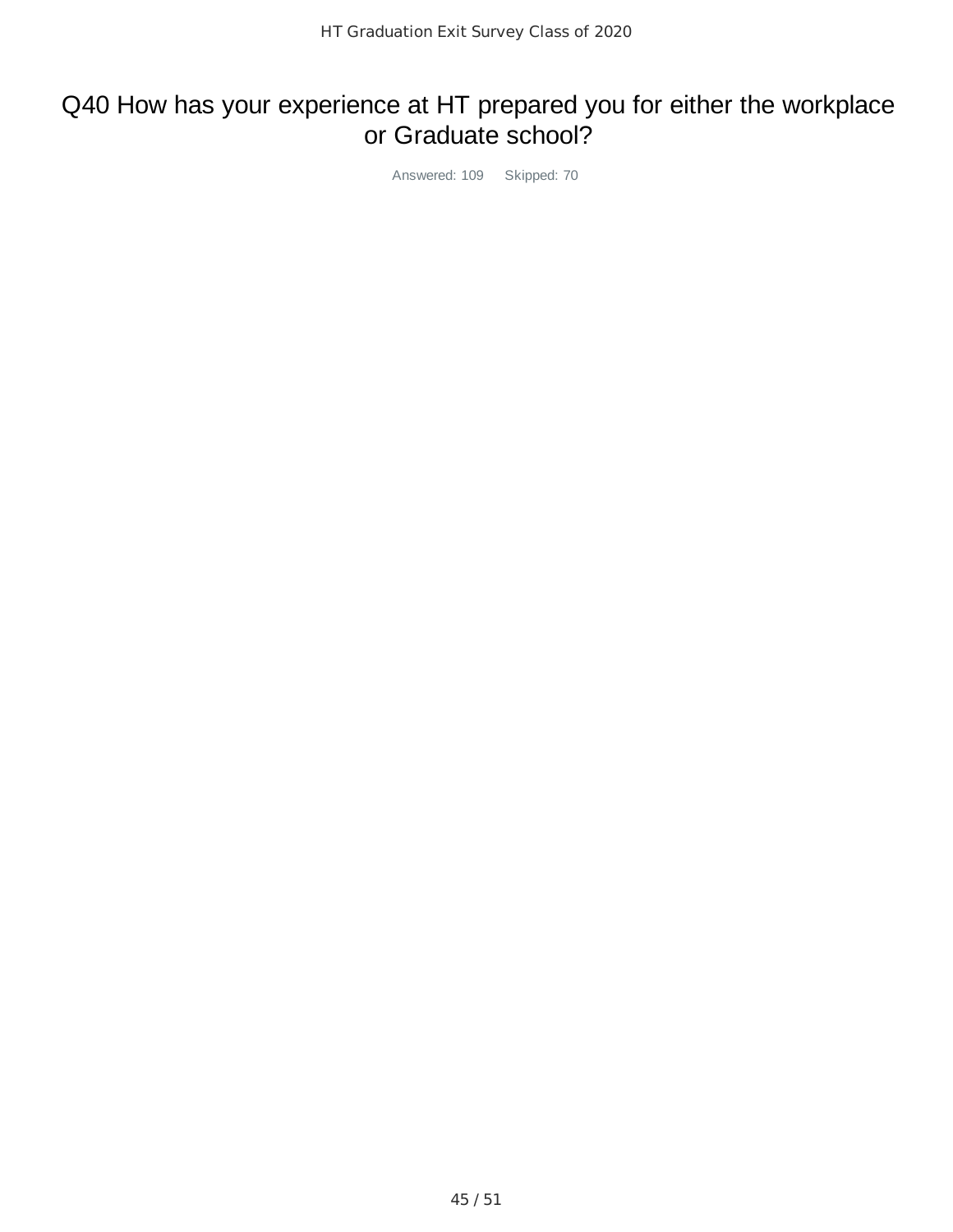### Q40 How has your experience at HT prepared you for either the workplace or Graduate school?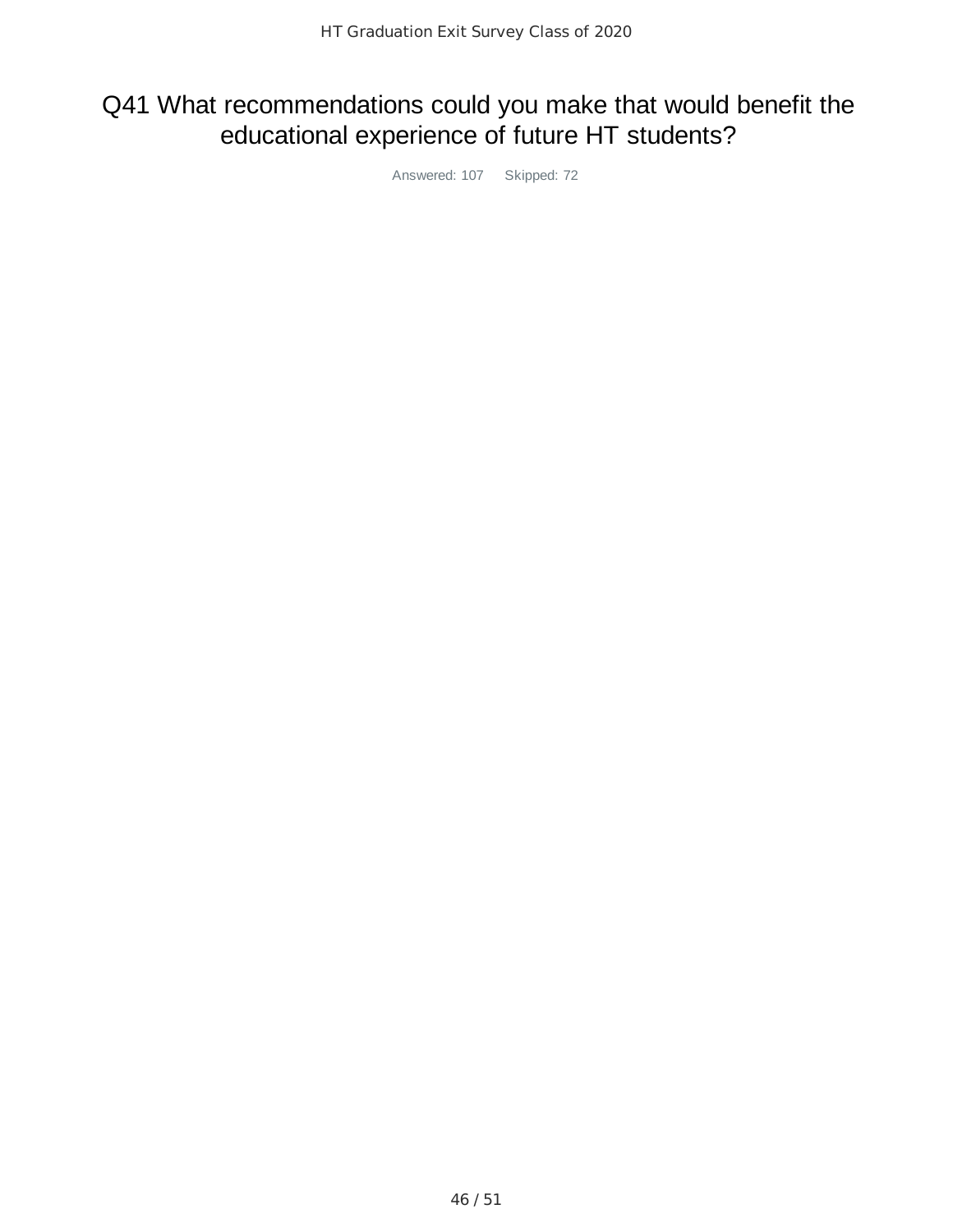## Q41 What recommendations could you make that would benefit the educational experience of future HT students?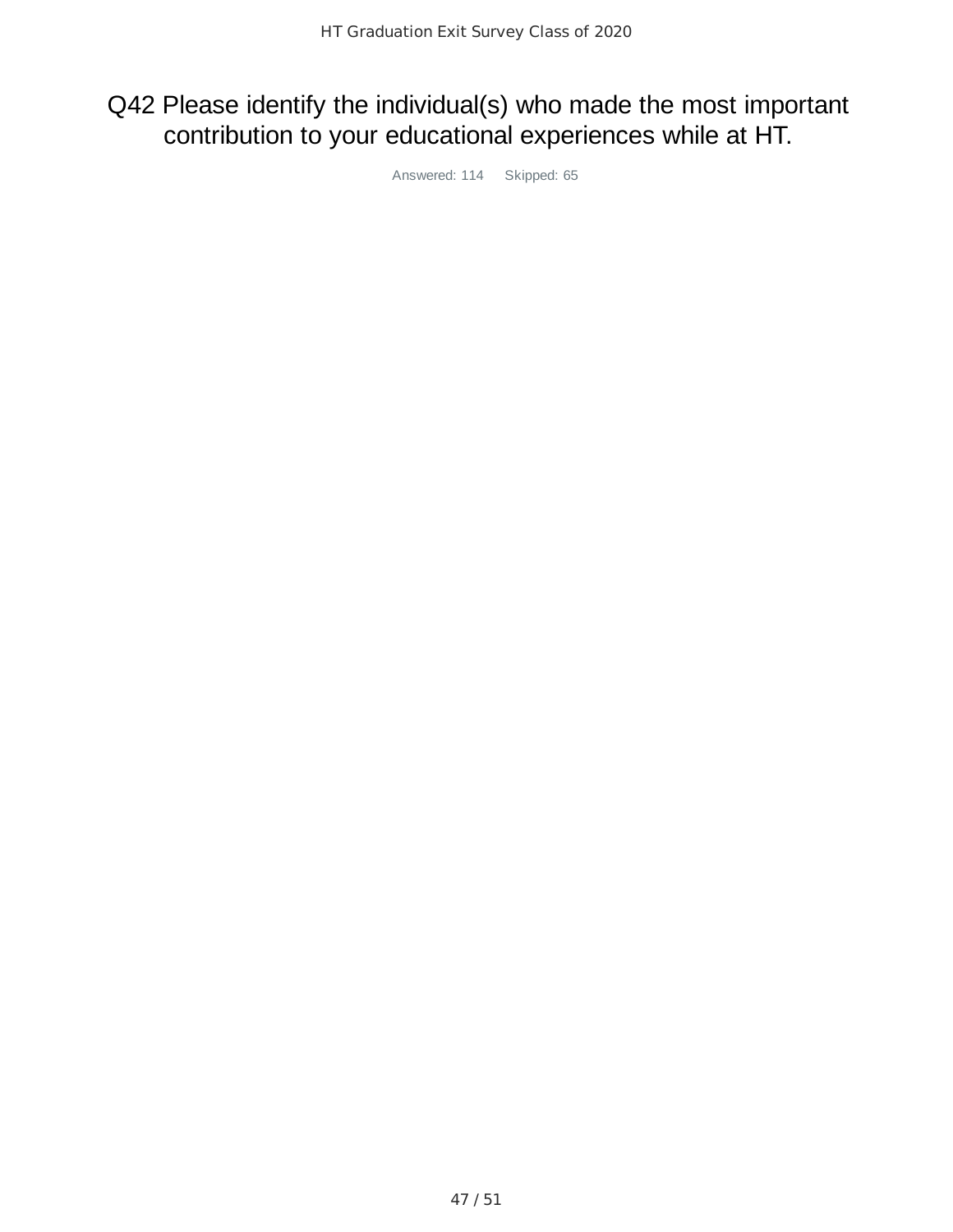## Q42 Please identify the individual(s) who made the most important contribution to your educational experiences while at HT.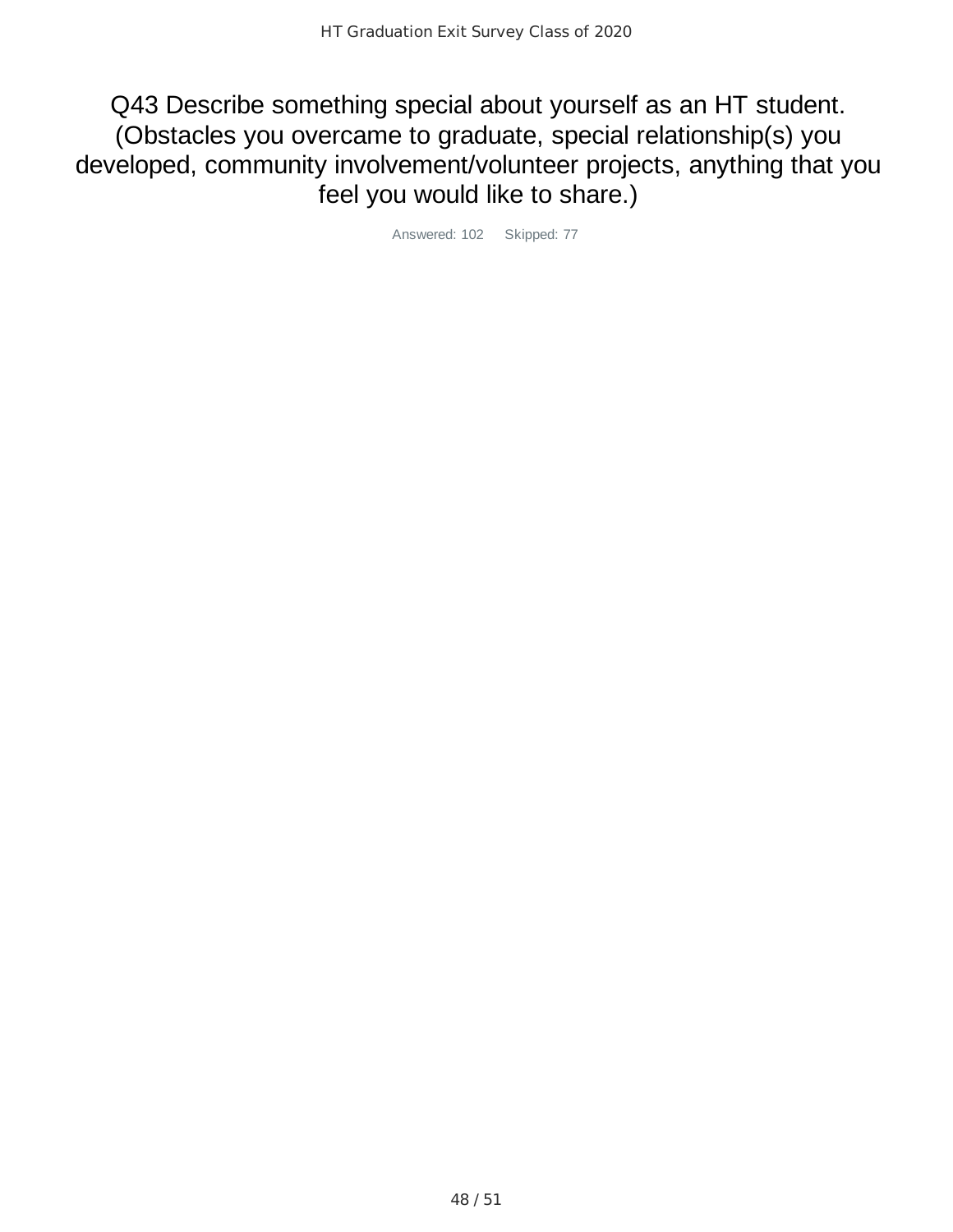Q43 Describe something special about yourself as an HT student. (Obstacles you overcame to graduate, special relationship(s) you developed, community involvement/volunteer projects, anything that you feel you would like to share.)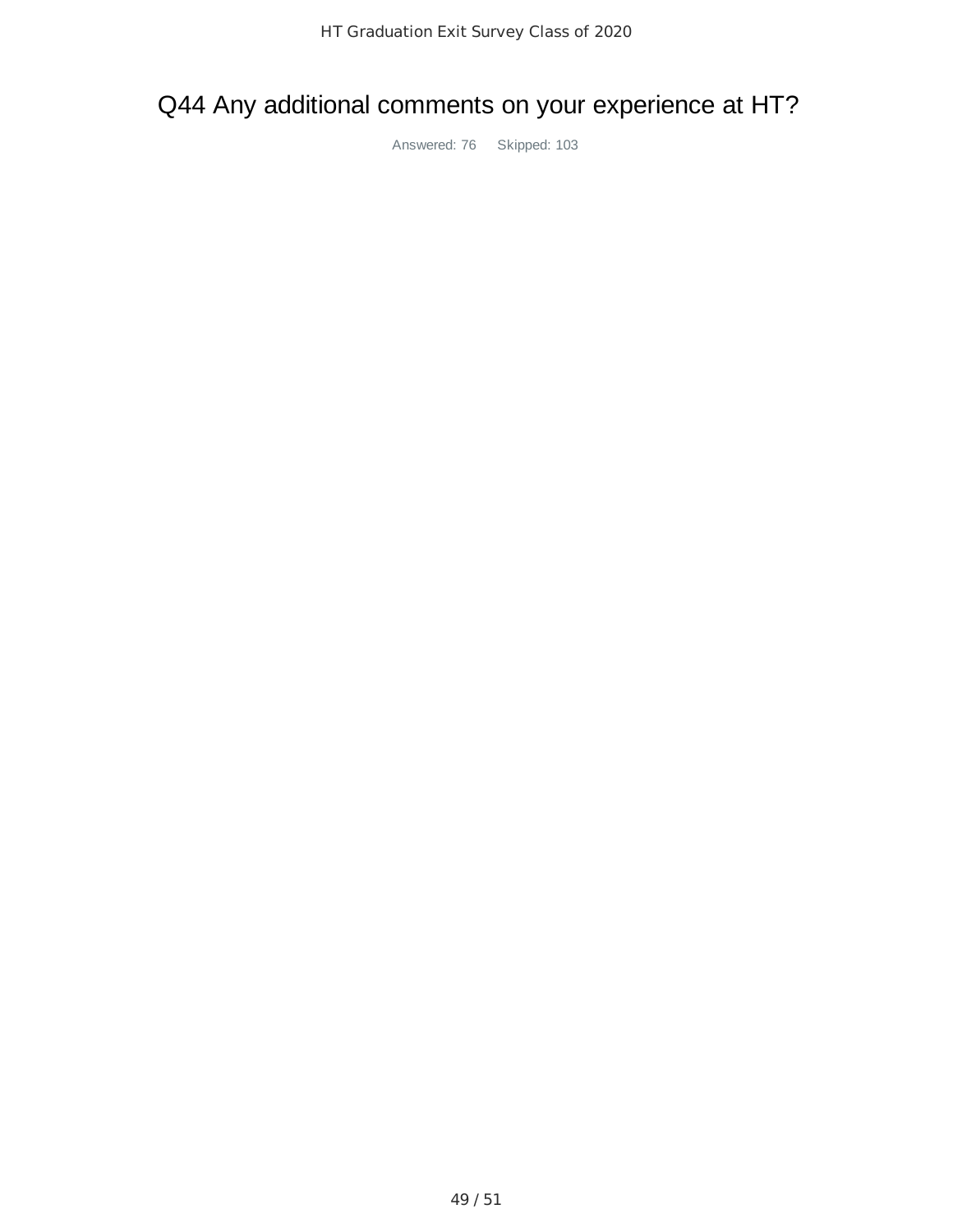### Q44 Any additional comments on your experience at HT?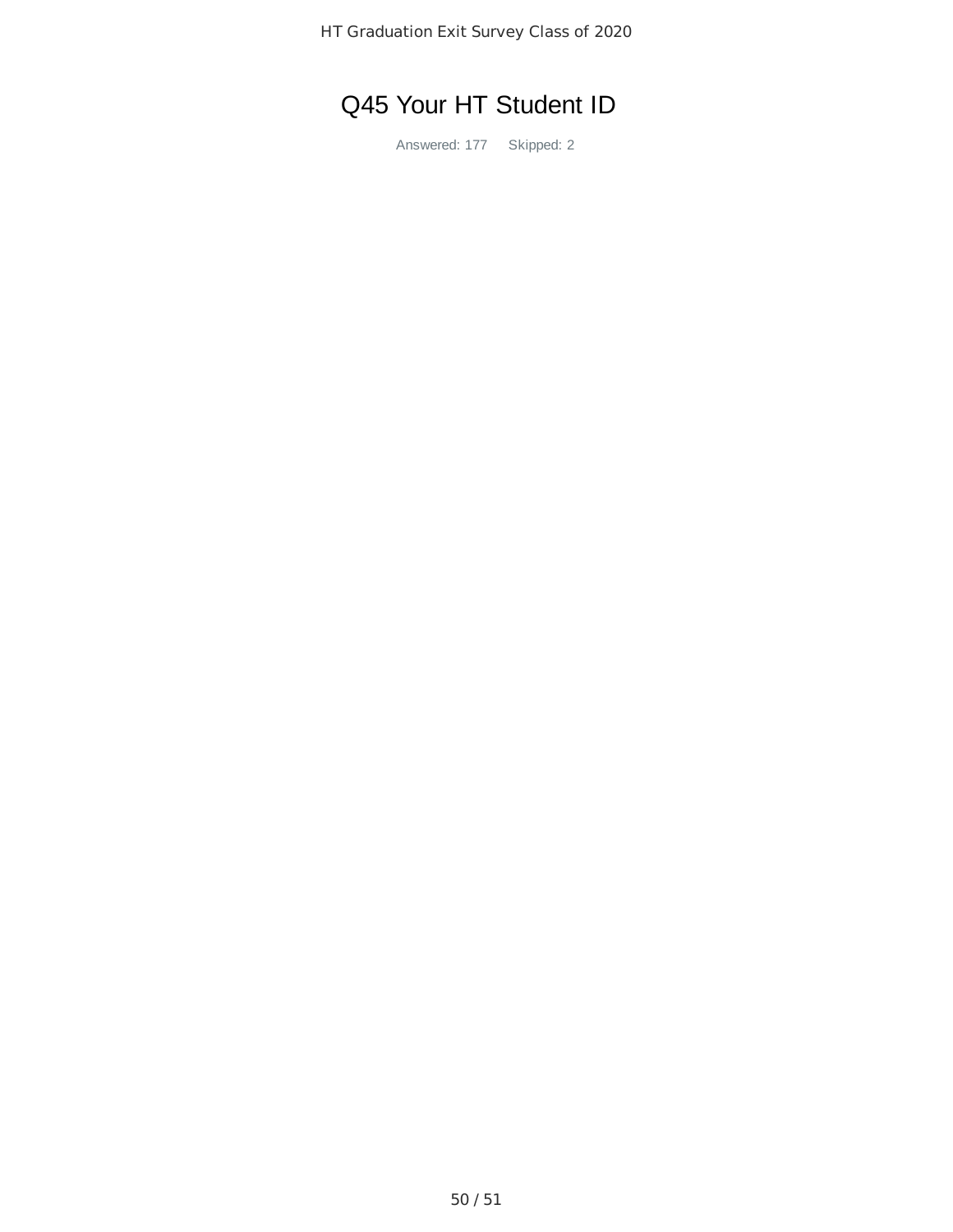HT Graduation Exit Survey Class of 2020

# Q45 Your HT Student ID